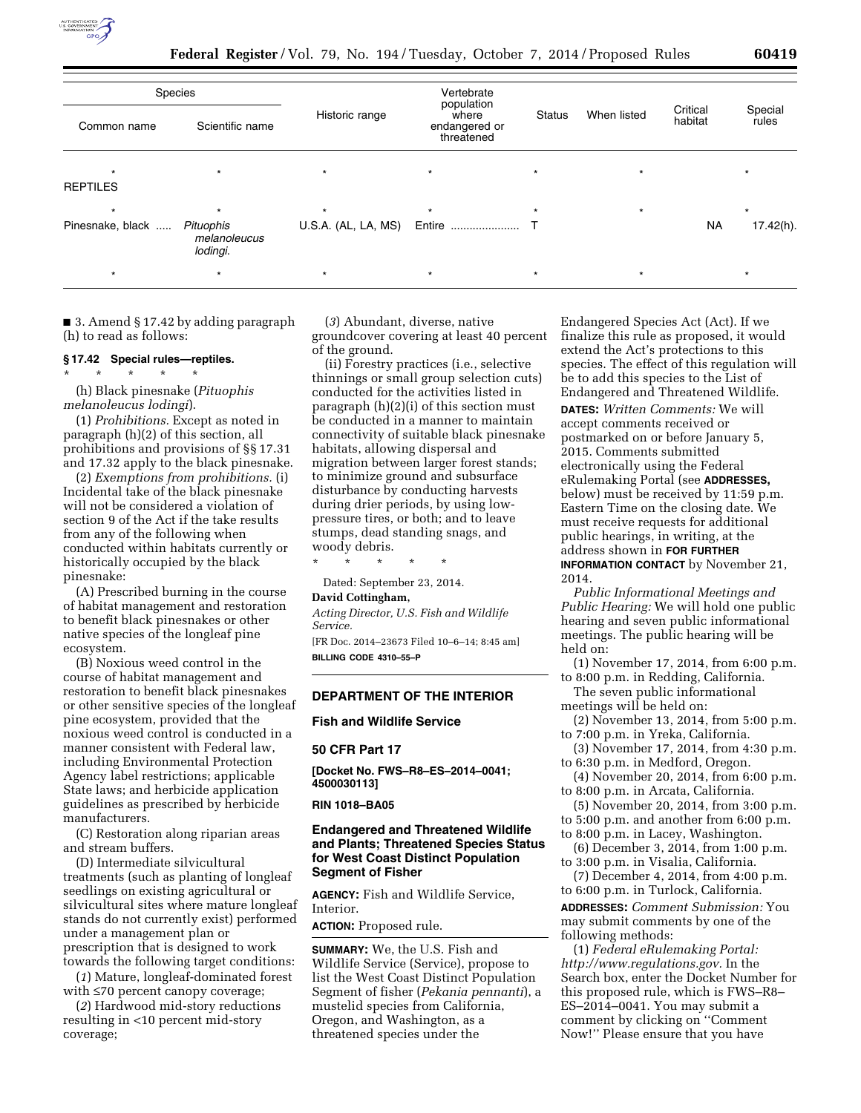

**Federal Register** / Vol. 79, No. 194 / Tuesday, October 7, 2014 / Proposed Rules **60419** 

| Species          |                                       |                     | Vertebrate                                         |               |             |                     |                  |
|------------------|---------------------------------------|---------------------|----------------------------------------------------|---------------|-------------|---------------------|------------------|
| Common name      | Scientific name                       | Historic range      | population<br>where<br>endangered or<br>threatened | <b>Status</b> | When listed | Critical<br>habitat | Special<br>rules |
|                  |                                       | $\star$             |                                                    |               |             |                     |                  |
| <b>REPTILES</b>  |                                       |                     |                                                    |               |             |                     |                  |
| $\star$          |                                       | $\star$             | $\star$                                            |               | $\star$     |                     | $\star$          |
| Pinesnake, black | Pituophis<br>melanoleucus<br>lodingi. | U.S.A. (AL, LA, MS) | Entire                                             |               |             | <b>NA</b>           | 17.42(h).        |
|                  |                                       | $\star$             | $\star$                                            |               |             |                     | $\star$          |

■ 3. Amend § 17.42 by adding paragraph (h) to read as follows:

### **§ 17.42 Special rules—reptiles.**

\* \* \* \* \* (h) Black pinesnake (*Pituophis melanoleucus lodingi*).

(1) *Prohibitions.* Except as noted in paragraph (h)(2) of this section, all prohibitions and provisions of §§ 17.31 and 17.32 apply to the black pinesnake.

(2) *Exemptions from prohibitions.* (i) Incidental take of the black pinesnake will not be considered a violation of section 9 of the Act if the take results from any of the following when conducted within habitats currently or historically occupied by the black pinesnake:

(A) Prescribed burning in the course of habitat management and restoration to benefit black pinesnakes or other native species of the longleaf pine ecosystem.

(B) Noxious weed control in the course of habitat management and restoration to benefit black pinesnakes or other sensitive species of the longleaf pine ecosystem, provided that the noxious weed control is conducted in a manner consistent with Federal law, including Environmental Protection Agency label restrictions; applicable State laws; and herbicide application guidelines as prescribed by herbicide manufacturers.

(C) Restoration along riparian areas and stream buffers.

(D) Intermediate silvicultural treatments (such as planting of longleaf seedlings on existing agricultural or silvicultural sites where mature longleaf stands do not currently exist) performed under a management plan or prescription that is designed to work towards the following target conditions:

(*1*) Mature, longleaf-dominated forest with ≤70 percent canopy coverage;

(*2*) Hardwood mid-story reductions resulting in <10 percent mid-story coverage;

(*3*) Abundant, diverse, native groundcover covering at least 40 percent of the ground.

(ii) Forestry practices (i.e., selective thinnings or small group selection cuts) conducted for the activities listed in paragraph (h)(2)(i) of this section must be conducted in a manner to maintain connectivity of suitable black pinesnake habitats, allowing dispersal and migration between larger forest stands; to minimize ground and subsurface disturbance by conducting harvests during drier periods, by using lowpressure tires, or both; and to leave stumps, dead standing snags, and woody debris.

\* \* \* \* \*

Dated: September 23, 2014.

#### **David Cottingham,**

*Acting Director, U.S. Fish and Wildlife Service.* 

[FR Doc. 2014–23673 Filed 10–6–14; 8:45 am] **BILLING CODE 4310–55–P** 

# **DEPARTMENT OF THE INTERIOR**

**Fish and Wildlife Service** 

# **50 CFR Part 17**

**[Docket No. FWS–R8–ES–2014–0041; 4500030113]** 

### **RIN 1018–BA05**

### **Endangered and Threatened Wildlife and Plants; Threatened Species Status for West Coast Distinct Population Segment of Fisher**

**AGENCY:** Fish and Wildlife Service, Interior.

**ACTION:** Proposed rule.

**SUMMARY:** We, the U.S. Fish and Wildlife Service (Service), propose to list the West Coast Distinct Population Segment of fisher (*Pekania pennanti*), a mustelid species from California, Oregon, and Washington, as a threatened species under the

Endangered Species Act (Act). If we finalize this rule as proposed, it would extend the Act's protections to this species. The effect of this regulation will be to add this species to the List of Endangered and Threatened Wildlife.

**DATES:** *Written Comments:* We will accept comments received or postmarked on or before January 5, 2015. Comments submitted electronically using the Federal eRulemaking Portal (see **ADDRESSES,**  below) must be received by 11:59 p.m. Eastern Time on the closing date. We must receive requests for additional public hearings, in writing, at the address shown in **FOR FURTHER INFORMATION CONTACT** by November 21, 2014.

*Public Informational Meetings and Public Hearing:* We will hold one public hearing and seven public informational meetings. The public hearing will be held on:

(1) November 17, 2014, from 6:00 p.m. to 8:00 p.m. in Redding, California.

The seven public informational meetings will be held on:

(2) November 13, 2014, from 5:00 p.m. to 7:00 p.m. in Yreka, California.

(3) November 17, 2014, from 4:30 p.m. to 6:30 p.m. in Medford, Oregon.

(4) November 20, 2014, from 6:00 p.m. to 8:00 p.m. in Arcata, California.

(5) November 20, 2014, from 3:00 p.m. to 5:00 p.m. and another from 6:00 p.m.

to 8:00 p.m. in Lacey, Washington. (6) December 3, 2014, from 1:00 p.m.

to 3:00 p.m. in Visalia, California.

(7) December 4, 2014, from 4:00 p.m. to 6:00 p.m. in Turlock, California. **ADDRESSES:** *Comment Submission:* You

may submit comments by one of the following methods:

(1) *Federal eRulemaking Portal: [http://www.regulations.gov.](http://www.regulations.gov)* In the Search box, enter the Docket Number for this proposed rule, which is FWS–R8– ES–2014–0041. You may submit a comment by clicking on ''Comment Now!'' Please ensure that you have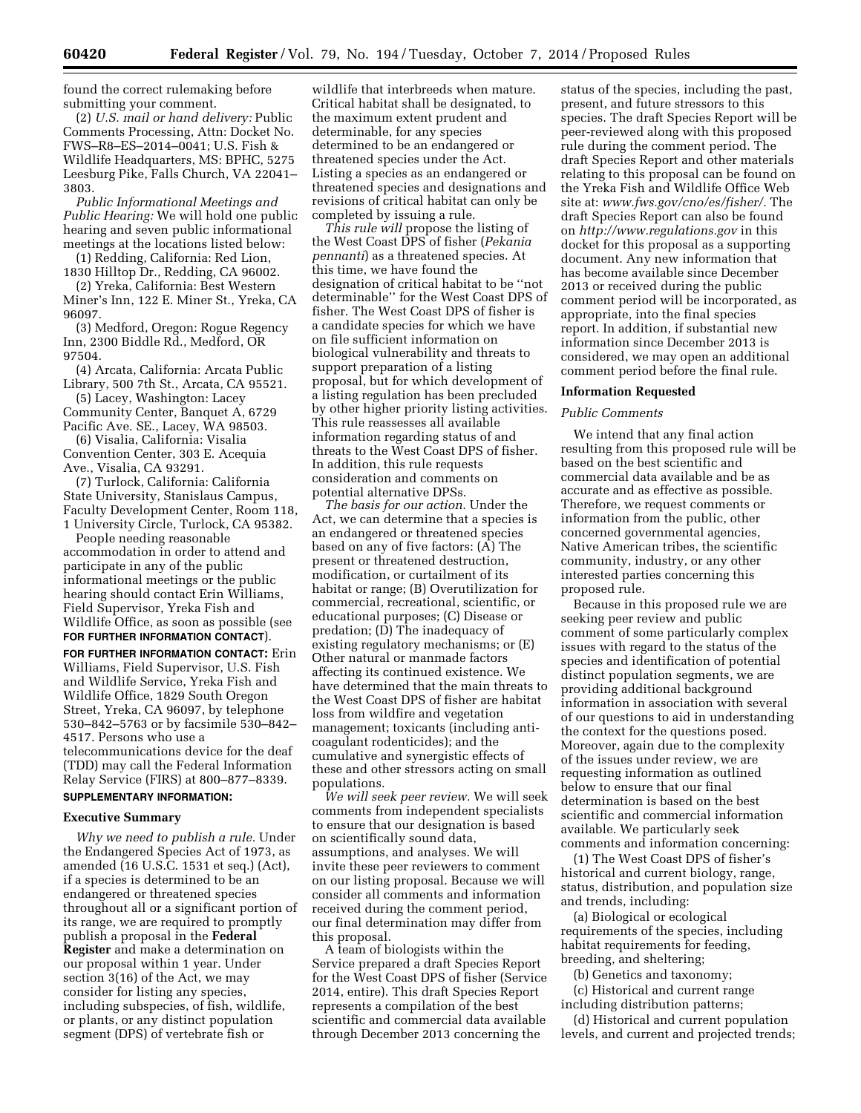found the correct rulemaking before submitting your comment.

(2) *U.S. mail or hand delivery:* Public Comments Processing, Attn: Docket No. FWS–R8–ES–2014–0041; U.S. Fish & Wildlife Headquarters, MS: BPHC, 5275 Leesburg Pike, Falls Church, VA 22041– 3803.

*Public Informational Meetings and Public Hearing:* We will hold one public hearing and seven public informational meetings at the locations listed below:

(1) Redding, California: Red Lion, 1830 Hilltop Dr., Redding, CA 96002.

(2) Yreka, California: Best Western Miner's Inn, 122 E. Miner St., Yreka, CA 96097.

(3) Medford, Oregon: Rogue Regency Inn, 2300 Biddle Rd., Medford, OR 97504.

(4) Arcata, California: Arcata Public Library, 500 7th St., Arcata, CA 95521.

(5) Lacey, Washington: Lacey Community Center, Banquet A, 6729 Pacific Ave. SE., Lacey, WA 98503.

(6) Visalia, California: Visalia Convention Center, 303 E. Acequia Ave., Visalia, CA 93291.

(7) Turlock, California: California State University, Stanislaus Campus, Faculty Development Center, Room 118, 1 University Circle, Turlock, CA 95382.

People needing reasonable accommodation in order to attend and participate in any of the public informational meetings or the public hearing should contact Erin Williams, Field Supervisor, Yreka Fish and Wildlife Office, as soon as possible (see **FOR FURTHER INFORMATION CONTACT**).

**FOR FURTHER INFORMATION CONTACT:** Erin Williams, Field Supervisor, U.S. Fish and Wildlife Service, Yreka Fish and Wildlife Office, 1829 South Oregon Street, Yreka, CA 96097, by telephone 530–842–5763 or by facsimile 530–842– 4517. Persons who use a telecommunications device for the deaf (TDD) may call the Federal Information Relay Service (FIRS) at 800–877–8339.

# **SUPPLEMENTARY INFORMATION:**

### **Executive Summary**

*Why we need to publish a rule.* Under the Endangered Species Act of 1973, as amended (16 U.S.C. 1531 et seq.) (Act), if a species is determined to be an endangered or threatened species throughout all or a significant portion of its range, we are required to promptly publish a proposal in the **Federal Register** and make a determination on our proposal within 1 year. Under section 3(16) of the Act, we may consider for listing any species, including subspecies, of fish, wildlife, or plants, or any distinct population segment (DPS) of vertebrate fish or

wildlife that interbreeds when mature. Critical habitat shall be designated, to the maximum extent prudent and determinable, for any species determined to be an endangered or threatened species under the Act. Listing a species as an endangered or threatened species and designations and revisions of critical habitat can only be completed by issuing a rule.

*This rule will* propose the listing of the West Coast DPS of fisher (*Pekania pennanti*) as a threatened species. At this time, we have found the designation of critical habitat to be ''not determinable'' for the West Coast DPS of fisher. The West Coast DPS of fisher is a candidate species for which we have on file sufficient information on biological vulnerability and threats to support preparation of a listing proposal, but for which development of a listing regulation has been precluded by other higher priority listing activities. This rule reassesses all available information regarding status of and threats to the West Coast DPS of fisher. In addition, this rule requests consideration and comments on potential alternative DPSs.

*The basis for our action.* Under the Act, we can determine that a species is an endangered or threatened species based on any of five factors: (A) The present or threatened destruction, modification, or curtailment of its habitat or range; (B) Overutilization for commercial, recreational, scientific, or educational purposes; (C) Disease or predation; (D) The inadequacy of existing regulatory mechanisms; or (E) Other natural or manmade factors affecting its continued existence. We have determined that the main threats to the West Coast DPS of fisher are habitat loss from wildfire and vegetation management; toxicants (including anticoagulant rodenticides); and the cumulative and synergistic effects of these and other stressors acting on small populations.

*We will seek peer review.* We will seek comments from independent specialists to ensure that our designation is based on scientifically sound data, assumptions, and analyses. We will invite these peer reviewers to comment on our listing proposal. Because we will consider all comments and information received during the comment period, our final determination may differ from this proposal.

A team of biologists within the Service prepared a draft Species Report for the West Coast DPS of fisher (Service 2014, entire). This draft Species Report represents a compilation of the best scientific and commercial data available through December 2013 concerning the

status of the species, including the past, present, and future stressors to this species. The draft Species Report will be peer-reviewed along with this proposed rule during the comment period. The draft Species Report and other materials relating to this proposal can be found on the Yreka Fish and Wildlife Office Web site at: *[www.fws.gov/cno/es/fisher/.](http://www.fws.gov/cno/es/fisher/)* The draft Species Report can also be found on *<http://www.regulations.gov>* in this docket for this proposal as a supporting document. Any new information that has become available since December 2013 or received during the public comment period will be incorporated, as appropriate, into the final species report. In addition, if substantial new information since December 2013 is considered, we may open an additional comment period before the final rule.

#### **Information Requested**

#### *Public Comments*

We intend that any final action resulting from this proposed rule will be based on the best scientific and commercial data available and be as accurate and as effective as possible. Therefore, we request comments or information from the public, other concerned governmental agencies, Native American tribes, the scientific community, industry, or any other interested parties concerning this proposed rule.

Because in this proposed rule we are seeking peer review and public comment of some particularly complex issues with regard to the status of the species and identification of potential distinct population segments, we are providing additional background information in association with several of our questions to aid in understanding the context for the questions posed. Moreover, again due to the complexity of the issues under review, we are requesting information as outlined below to ensure that our final determination is based on the best scientific and commercial information available. We particularly seek comments and information concerning:

(1) The West Coast DPS of fisher's historical and current biology, range, status, distribution, and population size and trends, including:

(a) Biological or ecological requirements of the species, including habitat requirements for feeding, breeding, and sheltering;

(b) Genetics and taxonomy;

(c) Historical and current range including distribution patterns;

(d) Historical and current population levels, and current and projected trends;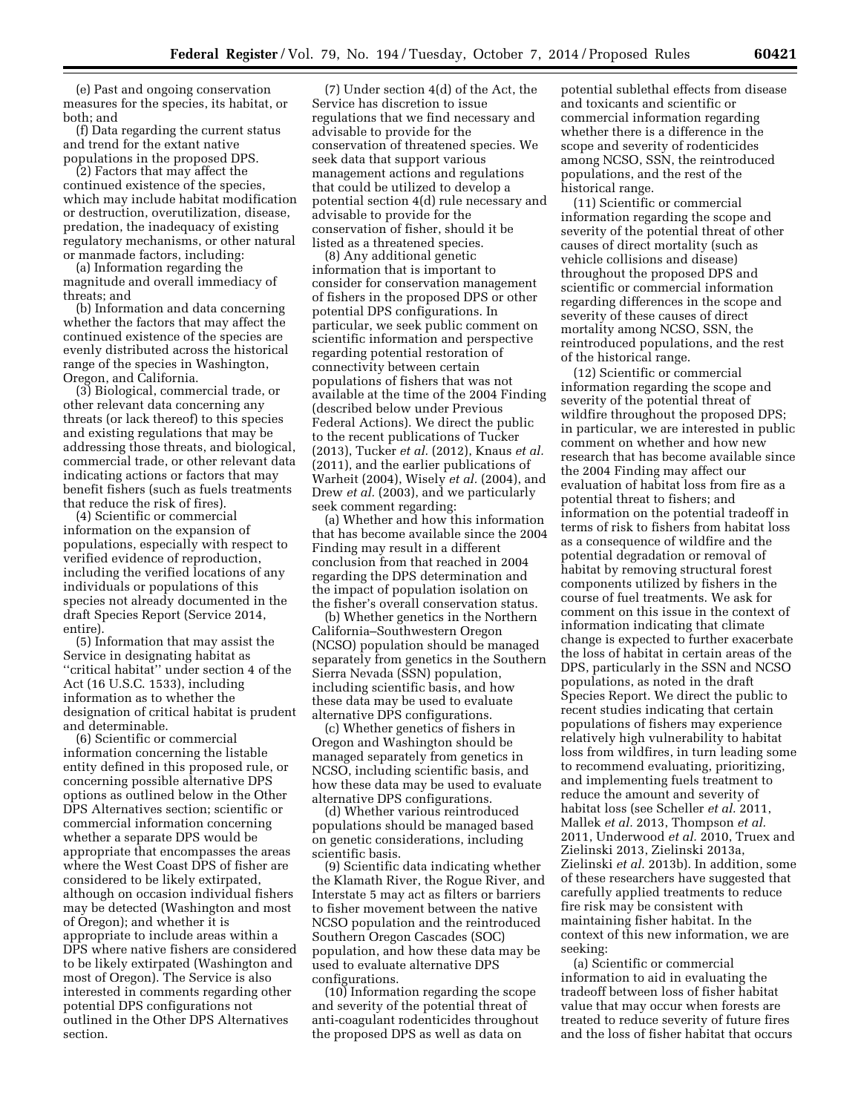(e) Past and ongoing conservation measures for the species, its habitat, or both; and

(f) Data regarding the current status and trend for the extant native populations in the proposed DPS.

(2) Factors that may affect the continued existence of the species, which may include habitat modification or destruction, overutilization, disease, predation, the inadequacy of existing regulatory mechanisms, or other natural or manmade factors, including:

(a) Information regarding the magnitude and overall immediacy of threats; and

(b) Information and data concerning whether the factors that may affect the continued existence of the species are evenly distributed across the historical range of the species in Washington, Oregon, and California.

(3) Biological, commercial trade, or other relevant data concerning any threats (or lack thereof) to this species and existing regulations that may be addressing those threats, and biological, commercial trade, or other relevant data indicating actions or factors that may benefit fishers (such as fuels treatments that reduce the risk of fires).

(4) Scientific or commercial information on the expansion of populations, especially with respect to verified evidence of reproduction, including the verified locations of any individuals or populations of this species not already documented in the draft Species Report (Service 2014, entire).

(5) Information that may assist the Service in designating habitat as ''critical habitat'' under section 4 of the Act (16 U.S.C. 1533), including information as to whether the designation of critical habitat is prudent and determinable.

(6) Scientific or commercial information concerning the listable entity defined in this proposed rule, or concerning possible alternative DPS options as outlined below in the Other DPS Alternatives section; scientific or commercial information concerning whether a separate DPS would be appropriate that encompasses the areas where the West Coast DPS of fisher are considered to be likely extirpated, although on occasion individual fishers may be detected (Washington and most of Oregon); and whether it is appropriate to include areas within a DPS where native fishers are considered to be likely extirpated (Washington and most of Oregon). The Service is also interested in comments regarding other potential DPS configurations not outlined in the Other DPS Alternatives section.

(7) Under section 4(d) of the Act, the Service has discretion to issue regulations that we find necessary and advisable to provide for the conservation of threatened species. We seek data that support various management actions and regulations that could be utilized to develop a potential section 4(d) rule necessary and advisable to provide for the conservation of fisher, should it be listed as a threatened species.

(8) Any additional genetic information that is important to consider for conservation management of fishers in the proposed DPS or other potential DPS configurations. In particular, we seek public comment on scientific information and perspective regarding potential restoration of connectivity between certain populations of fishers that was not available at the time of the 2004 Finding (described below under Previous Federal Actions). We direct the public to the recent publications of Tucker (2013), Tucker *et al.* (2012), Knaus *et al.*  (2011), and the earlier publications of Warheit (2004), Wisely *et al.* (2004), and Drew *et al.* (2003), and we particularly seek comment regarding:

(a) Whether and how this information that has become available since the 2004 Finding may result in a different conclusion from that reached in 2004 regarding the DPS determination and the impact of population isolation on the fisher's overall conservation status.

(b) Whether genetics in the Northern California–Southwestern Oregon (NCSO) population should be managed separately from genetics in the Southern Sierra Nevada (SSN) population, including scientific basis, and how these data may be used to evaluate alternative DPS configurations.

(c) Whether genetics of fishers in Oregon and Washington should be managed separately from genetics in NCSO, including scientific basis, and how these data may be used to evaluate alternative DPS configurations.

(d) Whether various reintroduced populations should be managed based on genetic considerations, including scientific basis.

(9) Scientific data indicating whether the Klamath River, the Rogue River, and Interstate 5 may act as filters or barriers to fisher movement between the native NCSO population and the reintroduced Southern Oregon Cascades (SOC) population, and how these data may be used to evaluate alternative DPS configurations.

(10) Information regarding the scope and severity of the potential threat of anti-coagulant rodenticides throughout the proposed DPS as well as data on

potential sublethal effects from disease and toxicants and scientific or commercial information regarding whether there is a difference in the scope and severity of rodenticides among NCSO, SSN, the reintroduced populations, and the rest of the historical range.

(11) Scientific or commercial information regarding the scope and severity of the potential threat of other causes of direct mortality (such as vehicle collisions and disease) throughout the proposed DPS and scientific or commercial information regarding differences in the scope and severity of these causes of direct mortality among NCSO, SSN, the reintroduced populations, and the rest of the historical range.

(12) Scientific or commercial information regarding the scope and severity of the potential threat of wildfire throughout the proposed DPS; in particular, we are interested in public comment on whether and how new research that has become available since the 2004 Finding may affect our evaluation of habitat loss from fire as a potential threat to fishers; and information on the potential tradeoff in terms of risk to fishers from habitat loss as a consequence of wildfire and the potential degradation or removal of habitat by removing structural forest components utilized by fishers in the course of fuel treatments. We ask for comment on this issue in the context of information indicating that climate change is expected to further exacerbate the loss of habitat in certain areas of the DPS, particularly in the SSN and NCSO populations, as noted in the draft Species Report. We direct the public to recent studies indicating that certain populations of fishers may experience relatively high vulnerability to habitat loss from wildfires, in turn leading some to recommend evaluating, prioritizing, and implementing fuels treatment to reduce the amount and severity of habitat loss (see Scheller *et al.* 2011, Mallek *et al.* 2013, Thompson *et al.*  2011, Underwood *et al.* 2010, Truex and Zielinski 2013, Zielinski 2013a, Zielinski *et al.* 2013b). In addition, some of these researchers have suggested that carefully applied treatments to reduce fire risk may be consistent with maintaining fisher habitat. In the context of this new information, we are seeking:

(a) Scientific or commercial information to aid in evaluating the tradeoff between loss of fisher habitat value that may occur when forests are treated to reduce severity of future fires and the loss of fisher habitat that occurs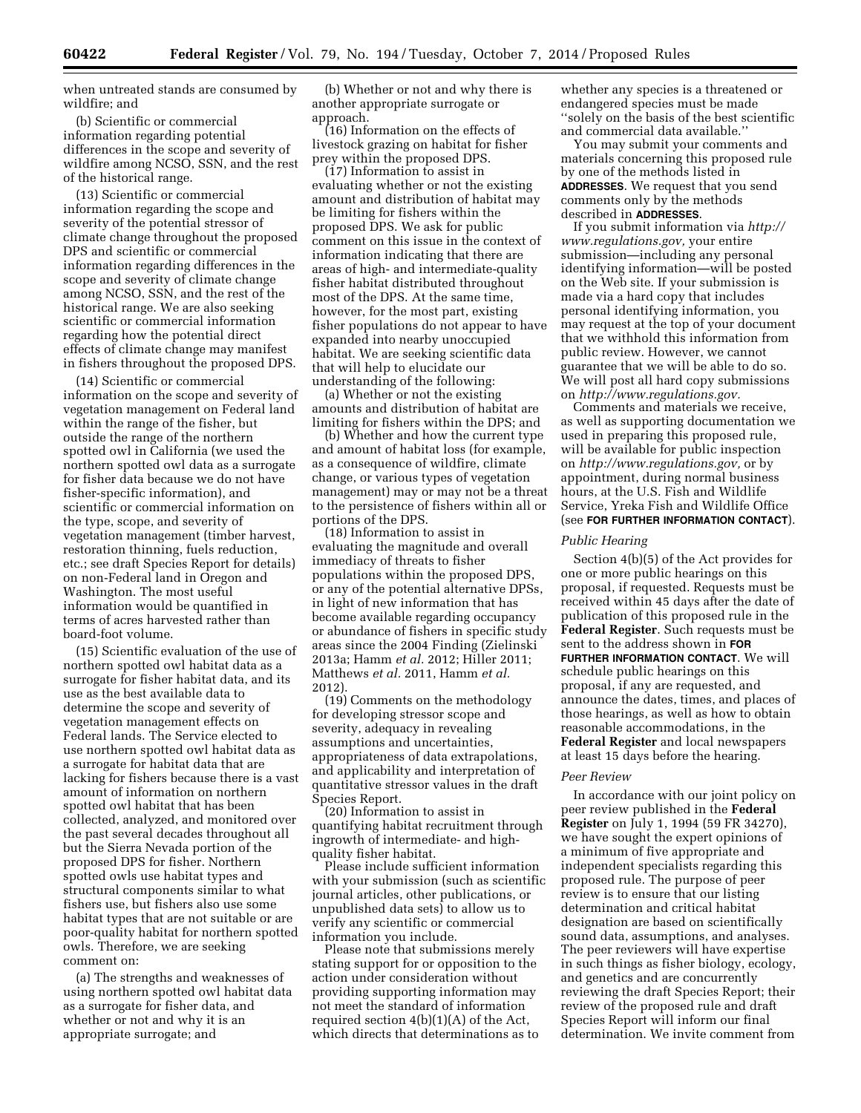when untreated stands are consumed by wildfire; and

(b) Scientific or commercial information regarding potential differences in the scope and severity of wildfire among NCSO, SSN, and the rest of the historical range.

(13) Scientific or commercial information regarding the scope and severity of the potential stressor of climate change throughout the proposed DPS and scientific or commercial information regarding differences in the scope and severity of climate change among NCSO, SSN, and the rest of the historical range. We are also seeking scientific or commercial information regarding how the potential direct effects of climate change may manifest in fishers throughout the proposed DPS.

(14) Scientific or commercial information on the scope and severity of vegetation management on Federal land within the range of the fisher, but outside the range of the northern spotted owl in California (we used the northern spotted owl data as a surrogate for fisher data because we do not have fisher-specific information), and scientific or commercial information on the type, scope, and severity of vegetation management (timber harvest, restoration thinning, fuels reduction, etc.; see draft Species Report for details) on non-Federal land in Oregon and Washington. The most useful information would be quantified in terms of acres harvested rather than board-foot volume.

(15) Scientific evaluation of the use of northern spotted owl habitat data as a surrogate for fisher habitat data, and its use as the best available data to determine the scope and severity of vegetation management effects on Federal lands. The Service elected to use northern spotted owl habitat data as a surrogate for habitat data that are lacking for fishers because there is a vast amount of information on northern spotted owl habitat that has been collected, analyzed, and monitored over the past several decades throughout all but the Sierra Nevada portion of the proposed DPS for fisher. Northern spotted owls use habitat types and structural components similar to what fishers use, but fishers also use some habitat types that are not suitable or are poor-quality habitat for northern spotted owls. Therefore, we are seeking comment on:

(a) The strengths and weaknesses of using northern spotted owl habitat data as a surrogate for fisher data, and whether or not and why it is an appropriate surrogate; and

(b) Whether or not and why there is another appropriate surrogate or approach.

(16) Information on the effects of livestock grazing on habitat for fisher prey within the proposed DPS.

(17) Information to assist in evaluating whether or not the existing amount and distribution of habitat may be limiting for fishers within the proposed DPS. We ask for public comment on this issue in the context of information indicating that there are areas of high- and intermediate-quality fisher habitat distributed throughout most of the DPS. At the same time, however, for the most part, existing fisher populations do not appear to have expanded into nearby unoccupied habitat. We are seeking scientific data that will help to elucidate our understanding of the following:

(a) Whether or not the existing amounts and distribution of habitat are limiting for fishers within the DPS; and

(b) Whether and how the current type and amount of habitat loss (for example, as a consequence of wildfire, climate change, or various types of vegetation management) may or may not be a threat to the persistence of fishers within all or portions of the DPS.

(18) Information to assist in evaluating the magnitude and overall immediacy of threats to fisher populations within the proposed DPS, or any of the potential alternative DPSs, in light of new information that has become available regarding occupancy or abundance of fishers in specific study areas since the 2004 Finding (Zielinski 2013a; Hamm *et al.* 2012; Hiller 2011; Matthews *et al.* 2011, Hamm *et al.*  2012).

(19) Comments on the methodology for developing stressor scope and severity, adequacy in revealing assumptions and uncertainties, appropriateness of data extrapolations, and applicability and interpretation of quantitative stressor values in the draft Species Report.

(20) Information to assist in quantifying habitat recruitment through ingrowth of intermediate- and highquality fisher habitat.

Please include sufficient information with your submission (such as scientific journal articles, other publications, or unpublished data sets) to allow us to verify any scientific or commercial information you include.

Please note that submissions merely stating support for or opposition to the action under consideration without providing supporting information may not meet the standard of information required section 4(b)(1)(A) of the Act, which directs that determinations as to whether any species is a threatened or endangered species must be made ''solely on the basis of the best scientific and commercial data available.''

You may submit your comments and materials concerning this proposed rule by one of the methods listed in **ADDRESSES**. We request that you send comments only by the methods described in **ADDRESSES**.

If you submit information via *[http://](http://www.regulations.gov) [www.regulations.gov,](http://www.regulations.gov)* your entire submission—including any personal identifying information—will be posted on the Web site. If your submission is made via a hard copy that includes personal identifying information, you may request at the top of your document that we withhold this information from public review. However, we cannot guarantee that we will be able to do so. We will post all hard copy submissions on *[http://www.regulations.gov.](http://www.regulations.gov)* 

Comments and materials we receive, as well as supporting documentation we used in preparing this proposed rule, will be available for public inspection on *[http://www.regulations.gov,](http://www.regulations.gov)* or by appointment, during normal business hours, at the U.S. Fish and Wildlife Service, Yreka Fish and Wildlife Office (see **FOR FURTHER INFORMATION CONTACT**).

### *Public Hearing*

Section 4(b)(5) of the Act provides for one or more public hearings on this proposal, if requested. Requests must be received within 45 days after the date of publication of this proposed rule in the **Federal Register**. Such requests must be sent to the address shown in **FOR FURTHER INFORMATION CONTACT**. We will schedule public hearings on this proposal, if any are requested, and announce the dates, times, and places of those hearings, as well as how to obtain reasonable accommodations, in the **Federal Register** and local newspapers at least 15 days before the hearing.

#### *Peer Review*

In accordance with our joint policy on peer review published in the **Federal Register** on July 1, 1994 (59 FR 34270), we have sought the expert opinions of a minimum of five appropriate and independent specialists regarding this proposed rule. The purpose of peer review is to ensure that our listing determination and critical habitat designation are based on scientifically sound data, assumptions, and analyses. The peer reviewers will have expertise in such things as fisher biology, ecology, and genetics and are concurrently reviewing the draft Species Report; their review of the proposed rule and draft Species Report will inform our final determination. We invite comment from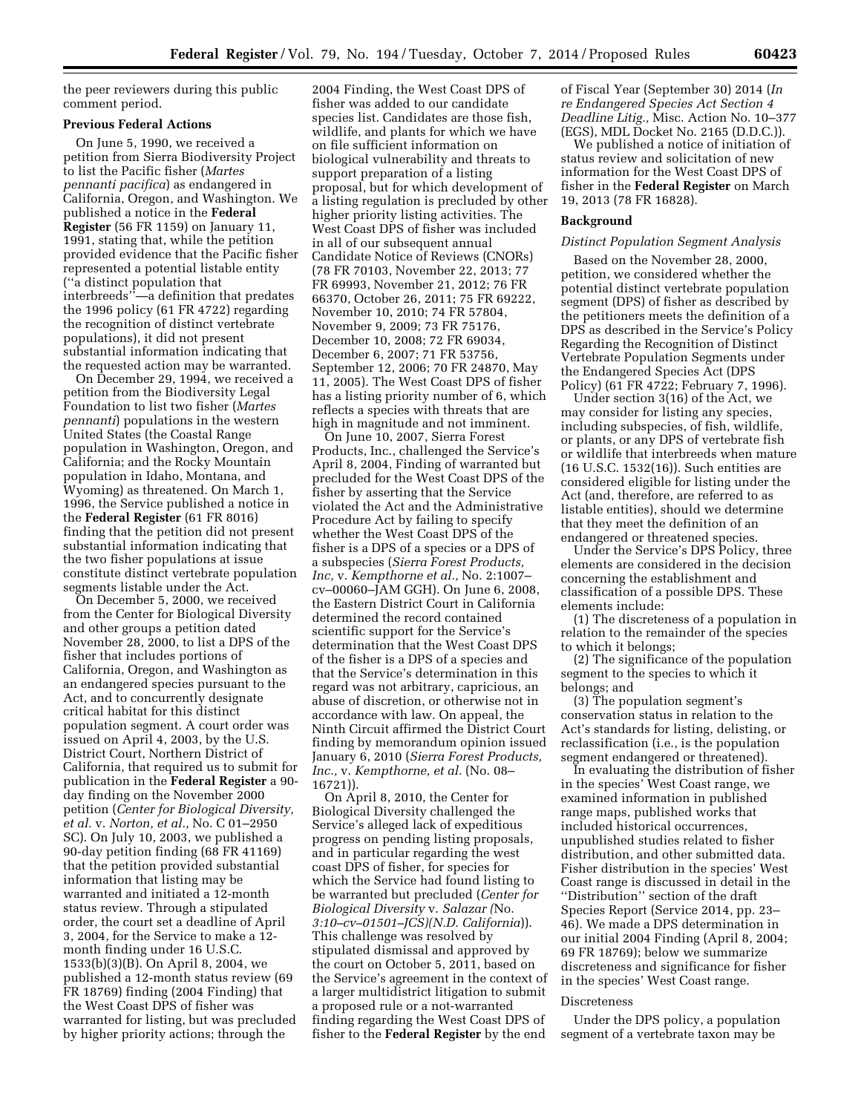the peer reviewers during this public comment period.

#### **Previous Federal Actions**

On June 5, 1990, we received a petition from Sierra Biodiversity Project to list the Pacific fisher (*Martes pennanti pacifica*) as endangered in California, Oregon, and Washington. We published a notice in the **Federal Register** (56 FR 1159) on January 11, 1991, stating that, while the petition provided evidence that the Pacific fisher represented a potential listable entity (''a distinct population that interbreeds''—a definition that predates the 1996 policy (61 FR 4722) regarding the recognition of distinct vertebrate populations), it did not present substantial information indicating that the requested action may be warranted.

On December 29, 1994, we received a petition from the Biodiversity Legal Foundation to list two fisher (*Martes pennanti*) populations in the western United States (the Coastal Range population in Washington, Oregon, and California; and the Rocky Mountain population in Idaho, Montana, and Wyoming) as threatened. On March 1, 1996, the Service published a notice in the **Federal Register** (61 FR 8016) finding that the petition did not present substantial information indicating that the two fisher populations at issue constitute distinct vertebrate population segments listable under the Act.

On December 5, 2000, we received from the Center for Biological Diversity and other groups a petition dated November 28, 2000, to list a DPS of the fisher that includes portions of California, Oregon, and Washington as an endangered species pursuant to the Act, and to concurrently designate critical habitat for this distinct population segment. A court order was issued on April 4, 2003, by the U.S. District Court, Northern District of California, that required us to submit for publication in the **Federal Register** a 90 day finding on the November 2000 petition (*Center for Biological Diversity, et al.* v. *Norton, et al.,* No. C 01–2950 SC). On July 10, 2003, we published a 90-day petition finding (68 FR 41169) that the petition provided substantial information that listing may be warranted and initiated a 12-month status review. Through a stipulated order, the court set a deadline of April 3, 2004, for the Service to make a 12 month finding under 16 U.S.C. 1533(b)(3)(B). On April 8, 2004, we published a 12-month status review (69 FR 18769) finding (2004 Finding) that the West Coast DPS of fisher was warranted for listing, but was precluded by higher priority actions; through the

2004 Finding, the West Coast DPS of fisher was added to our candidate species list. Candidates are those fish, wildlife, and plants for which we have on file sufficient information on biological vulnerability and threats to support preparation of a listing proposal, but for which development of a listing regulation is precluded by other higher priority listing activities. The West Coast DPS of fisher was included in all of our subsequent annual Candidate Notice of Reviews (CNORs) (78 FR 70103, November 22, 2013; 77 FR 69993, November 21, 2012; 76 FR 66370, October 26, 2011; 75 FR 69222, November 10, 2010; 74 FR 57804, November 9, 2009; 73 FR 75176, December 10, 2008; 72 FR 69034, December 6, 2007; 71 FR 53756, September 12, 2006; 70 FR 24870, May 11, 2005). The West Coast DPS of fisher has a listing priority number of 6, which reflects a species with threats that are high in magnitude and not imminent.

On June 10, 2007, Sierra Forest Products, Inc., challenged the Service's April 8, 2004, Finding of warranted but precluded for the West Coast DPS of the fisher by asserting that the Service violated the Act and the Administrative Procedure Act by failing to specify whether the West Coast DPS of the fisher is a DPS of a species or a DPS of a subspecies (*Sierra Forest Products, Inc,* v. *Kempthorne et al.,* No. 2:1007– cv–00060–JAM GGH). On June 6, 2008, the Eastern District Court in California determined the record contained scientific support for the Service's determination that the West Coast DPS of the fisher is a DPS of a species and that the Service's determination in this regard was not arbitrary, capricious, an abuse of discretion, or otherwise not in accordance with law. On appeal, the Ninth Circuit affirmed the District Court finding by memorandum opinion issued January 6, 2010 (*Sierra Forest Products, Inc.,* v. *Kempthorne, et al.* (No. 08– 16721)).

On April 8, 2010, the Center for Biological Diversity challenged the Service's alleged lack of expeditious progress on pending listing proposals, and in particular regarding the west coast DPS of fisher, for species for which the Service had found listing to be warranted but precluded (*Center for Biological Diversity* v. *Salazar (*No. *3:10–cv–01501–JCS)(N.D. California*)). This challenge was resolved by stipulated dismissal and approved by the court on October 5, 2011, based on the Service's agreement in the context of a larger multidistrict litigation to submit a proposed rule or a not-warranted finding regarding the West Coast DPS of fisher to the **Federal Register** by the end

of Fiscal Year (September 30) 2014 (*In re Endangered Species Act Section 4 Deadline Litig.,* Misc. Action No. 10–377 (EGS), MDL Docket No. 2165 (D.D.C.)).

We published a notice of initiation of status review and solicitation of new information for the West Coast DPS of fisher in the **Federal Register** on March 19, 2013 (78 FR 16828).

### **Background**

### *Distinct Population Segment Analysis*

Based on the November 28, 2000, petition, we considered whether the potential distinct vertebrate population segment (DPS) of fisher as described by the petitioners meets the definition of a DPS as described in the Service's Policy Regarding the Recognition of Distinct Vertebrate Population Segments under the Endangered Species Act (DPS Policy) (61 FR 4722; February 7, 1996).

Under section 3(16) of the Act, we may consider for listing any species, including subspecies, of fish, wildlife, or plants, or any DPS of vertebrate fish or wildlife that interbreeds when mature (16 U.S.C. 1532(16)). Such entities are considered eligible for listing under the Act (and, therefore, are referred to as listable entities), should we determine that they meet the definition of an endangered or threatened species.

Under the Service's DPS Policy, three elements are considered in the decision concerning the establishment and classification of a possible DPS. These elements include:

(1) The discreteness of a population in relation to the remainder of the species to which it belongs;

(2) The significance of the population segment to the species to which it belongs; and

(3) The population segment's conservation status in relation to the Act's standards for listing, delisting, or reclassification (i.e., is the population segment endangered or threatened).

In evaluating the distribution of fisher in the species' West Coast range, we examined information in published range maps, published works that included historical occurrences, unpublished studies related to fisher distribution, and other submitted data. Fisher distribution in the species' West Coast range is discussed in detail in the ''Distribution'' section of the draft Species Report (Service 2014, pp. 23– 46). We made a DPS determination in our initial 2004 Finding (April 8, 2004; 69 FR 18769); below we summarize discreteness and significance for fisher in the species' West Coast range.

#### Discreteness

Under the DPS policy, a population segment of a vertebrate taxon may be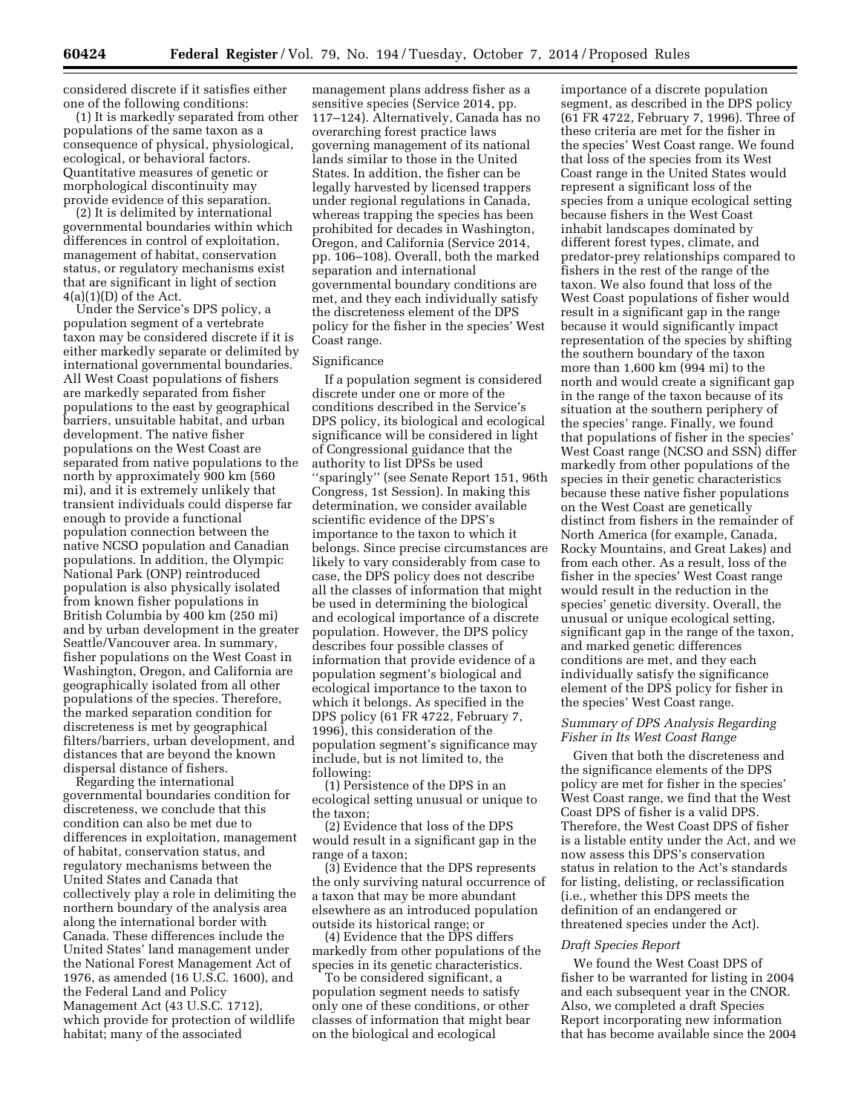considered discrete if it satisfies either one of the following conditions:

(1) It is markedly separated from other populations of the same taxon as a consequence of physical, physiological, ecological, or behavioral factors. Quantitative measures of genetic or morphological discontinuity may provide evidence of this separation.

(2) It is delimited by international governmental boundaries within which differences in control of exploitation, management of habitat, conservation status, or regulatory mechanisms exist that are significant in light of section  $4(a)(1)(D)$  of the Act.

Under the Service's DPS policy, a population segment of a vertebrate taxon may be considered discrete if it is either markedly separate or delimited by international governmental boundaries. All West Coast populations of fishers are markedly separated from fisher populations to the east by geographical barriers, unsuitable habitat, and urban development. The native fisher populations on the West Coast are separated from native populations to the north by approximately 900 km (560 mi), and it is extremely unlikely that transient individuals could disperse far enough to provide a functional population connection between the native NCSO population and Canadian populations. In addition, the Olympic National Park (ONP) reintroduced population is also physically isolated from known fisher populations in British Columbia by 400 km (250 mi) and by urban development in the greater Seattle/Vancouver area. In summary, fisher populations on the West Coast in Washington, Oregon, and California are geographically isolated from all other populations of the species. Therefore, the marked separation condition for discreteness is met by geographical filters/barriers, urban development, and distances that are beyond the known dispersal distance of fishers.

Regarding the international governmental boundaries condition for discreteness, we conclude that this condition can also be met due to differences in exploitation, management of habitat, conservation status, and regulatory mechanisms between the United States and Canada that collectively play a role in delimiting the northern boundary of the analysis area along the international border with Canada. These differences include the United States' land management under the National Forest Management Act of 1976, as amended (16 U.S.C. 1600), and the Federal Land and Policy Management Act (43 U.S.C. 1712), which provide for protection of wildlife habitat; many of the associated

management plans address fisher as a sensitive species (Service 2014, pp. 117–124). Alternatively, Canada has no overarching forest practice laws governing management of its national lands similar to those in the United States. In addition, the fisher can be legally harvested by licensed trappers under regional regulations in Canada, whereas trapping the species has been prohibited for decades in Washington, Oregon, and California (Service 2014, pp. 106–108). Overall, both the marked separation and international governmental boundary conditions are met, and they each individually satisfy the discreteness element of the DPS policy for the fisher in the species' West Coast range.

#### Significance

If a population segment is considered discrete under one or more of the conditions described in the Service's DPS policy, its biological and ecological significance will be considered in light of Congressional guidance that the authority to list DPSs be used ''sparingly'' (see Senate Report 151, 96th Congress, 1st Session). In making this determination, we consider available scientific evidence of the DPS's importance to the taxon to which it belongs. Since precise circumstances are likely to vary considerably from case to case, the DPS policy does not describe all the classes of information that might be used in determining the biological and ecological importance of a discrete population. However, the DPS policy describes four possible classes of information that provide evidence of a population segment's biological and ecological importance to the taxon to which it belongs. As specified in the DPS policy (61 FR 4722, February 7, 1996), this consideration of the population segment's significance may include, but is not limited to, the following:

(1) Persistence of the DPS in an ecological setting unusual or unique to the taxon;

(2) Evidence that loss of the DPS would result in a significant gap in the range of a taxon;

(3) Evidence that the DPS represents the only surviving natural occurrence of a taxon that may be more abundant elsewhere as an introduced population outside its historical range; or

(4) Evidence that the DPS differs markedly from other populations of the species in its genetic characteristics.

To be considered significant, a population segment needs to satisfy only one of these conditions, or other classes of information that might bear on the biological and ecological

importance of a discrete population segment, as described in the DPS policy (61 FR 4722, February 7, 1996). Three of these criteria are met for the fisher in the species' West Coast range. We found that loss of the species from its West Coast range in the United States would represent a significant loss of the species from a unique ecological setting because fishers in the West Coast inhabit landscapes dominated by different forest types, climate, and predator-prey relationships compared to fishers in the rest of the range of the taxon. We also found that loss of the West Coast populations of fisher would result in a significant gap in the range because it would significantly impact representation of the species by shifting the southern boundary of the taxon more than 1,600 km (994 mi) to the north and would create a significant gap in the range of the taxon because of its situation at the southern periphery of the species' range. Finally, we found that populations of fisher in the species' West Coast range (NCSO and SSN) differ markedly from other populations of the species in their genetic characteristics because these native fisher populations on the West Coast are genetically distinct from fishers in the remainder of North America (for example, Canada, Rocky Mountains, and Great Lakes) and from each other. As a result, loss of the fisher in the species' West Coast range would result in the reduction in the species' genetic diversity. Overall, the unusual or unique ecological setting, significant gap in the range of the taxon, and marked genetic differences conditions are met, and they each individually satisfy the significance element of the DPS policy for fisher in the species' West Coast range.

## *Summary of DPS Analysis Regarding Fisher in Its West Coast Range*

Given that both the discreteness and the significance elements of the DPS policy are met for fisher in the species' West Coast range, we find that the West Coast DPS of fisher is a valid DPS. Therefore, the West Coast DPS of fisher is a listable entity under the Act, and we now assess this DPS's conservation status in relation to the Act's standards for listing, delisting, or reclassification (i.e., whether this DPS meets the definition of an endangered or threatened species under the Act).

### *Draft Species Report*

We found the West Coast DPS of fisher to be warranted for listing in 2004 and each subsequent year in the CNOR. Also, we completed a draft Species Report incorporating new information that has become available since the 2004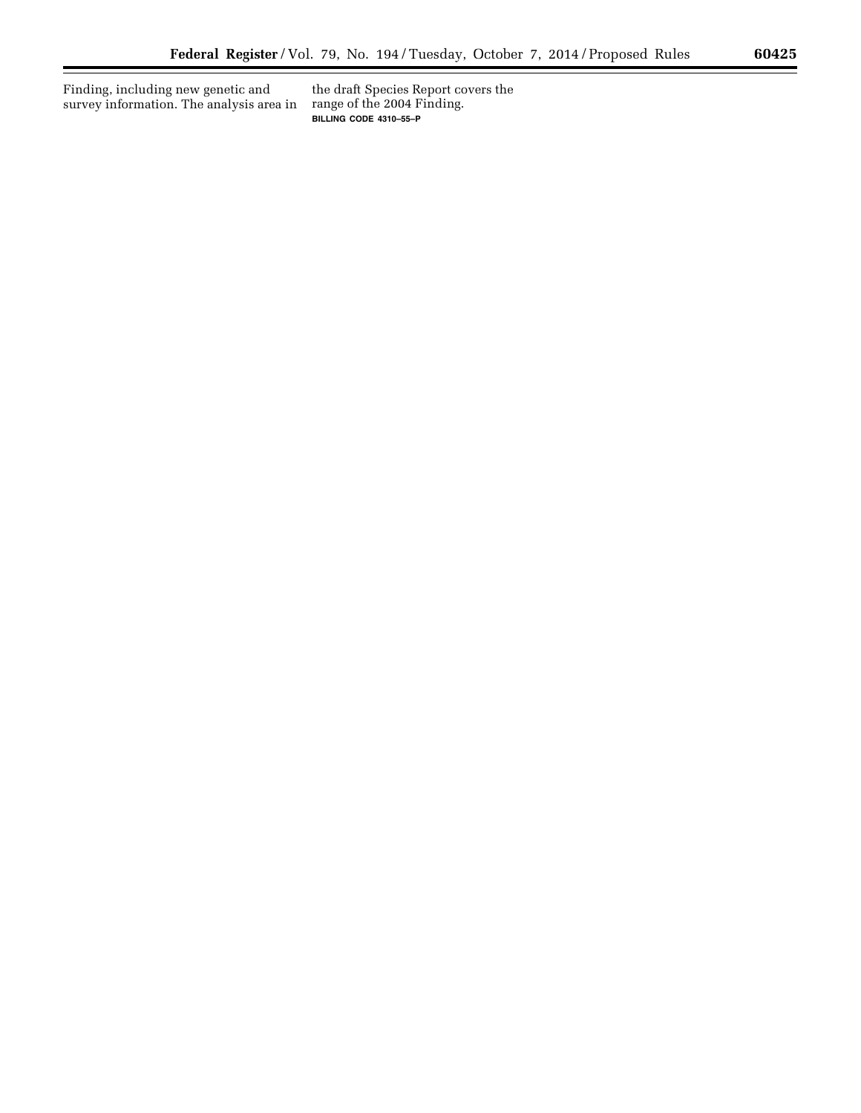Finding, including new genetic and survey information. The analysis area in

the draft Species Report covers the range of the 2004 Finding. **BILLING CODE 4310–55–P** 

 $\equiv$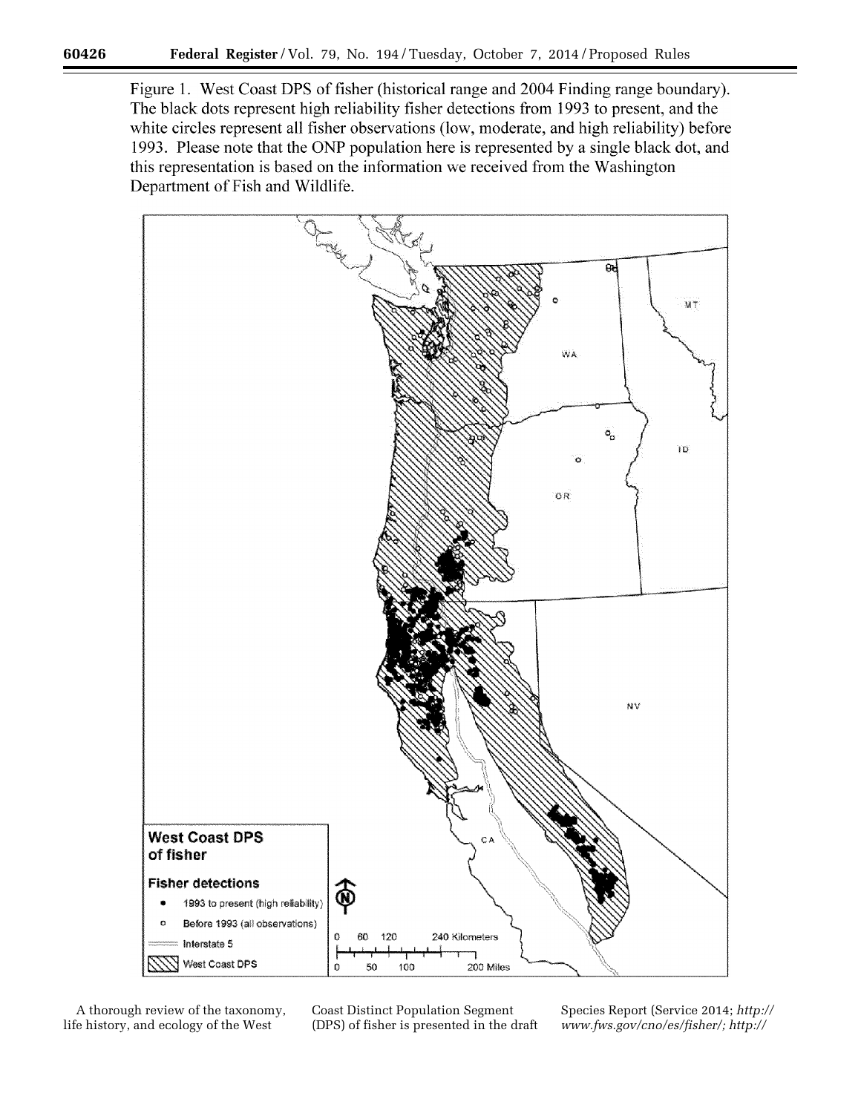Figure 1. West Coast DPS of fisher (historical range and 2004 Finding range boundary). The black dots represent high reliability fisher detections from 1993 to present, and the white circles represent all fisher observations (low, moderate, and high reliability) before 1993. Please note that the ONP population here is represented by a single black dot, and this representation is based on the information we received from the Washington Department of Fish and Wildlife.



A thorough review of the taxonomy, life history, and ecology of the West

Coast Distinct Population Segment (DPS) of fisher is presented in the draft Species Report (Service 2014; *[http://](http://www.fws.gov/cno/es/fisher/) [www.fws.gov/cno/es/fisher/;](http://www.fws.gov/cno/es/fisher/) http://*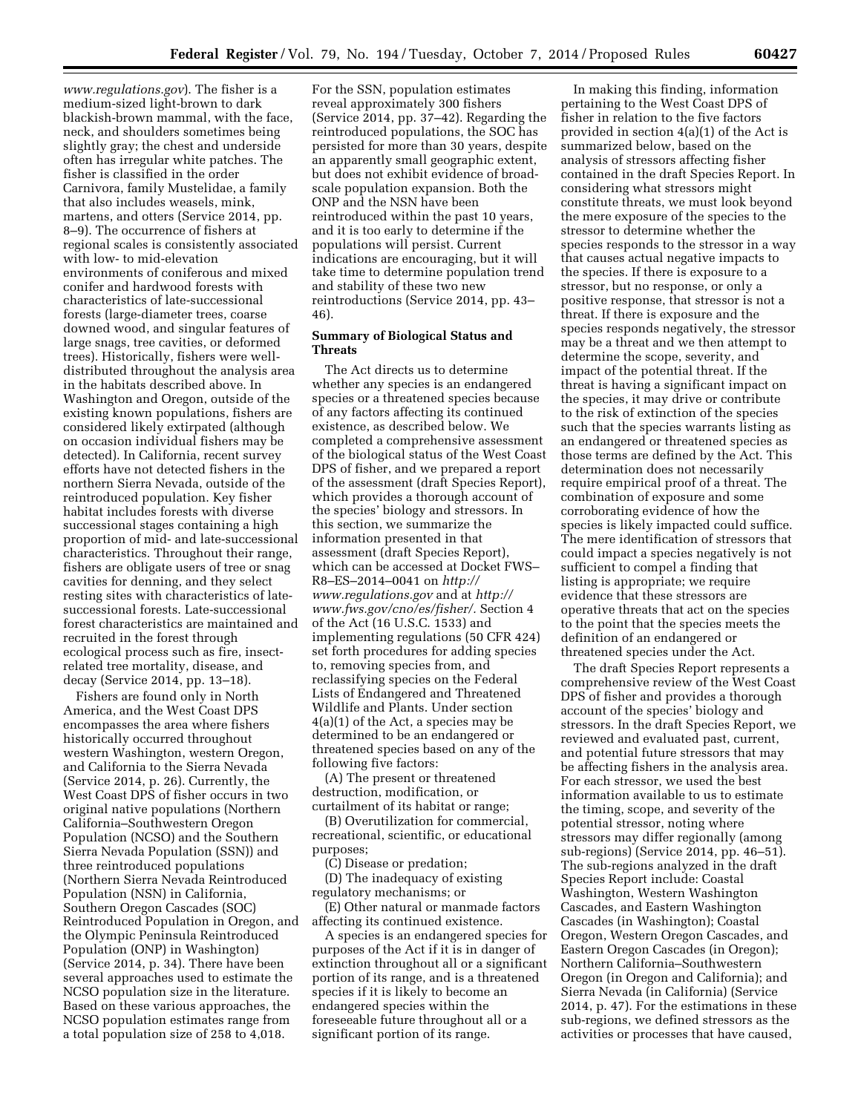*[www.regulations.gov](http://www.regulations.gov)*). The fisher is a medium-sized light-brown to dark blackish-brown mammal, with the face, neck, and shoulders sometimes being slightly gray; the chest and underside often has irregular white patches. The fisher is classified in the order Carnivora, family Mustelidae, a family that also includes weasels, mink, martens, and otters (Service 2014, pp. 8–9). The occurrence of fishers at regional scales is consistently associated with low- to mid-elevation environments of coniferous and mixed conifer and hardwood forests with characteristics of late-successional forests (large-diameter trees, coarse downed wood, and singular features of large snags, tree cavities, or deformed trees). Historically, fishers were welldistributed throughout the analysis area in the habitats described above. In Washington and Oregon, outside of the existing known populations, fishers are considered likely extirpated (although on occasion individual fishers may be detected). In California, recent survey efforts have not detected fishers in the northern Sierra Nevada, outside of the reintroduced population. Key fisher habitat includes forests with diverse successional stages containing a high proportion of mid- and late-successional characteristics. Throughout their range, fishers are obligate users of tree or snag cavities for denning, and they select resting sites with characteristics of latesuccessional forests. Late-successional forest characteristics are maintained and recruited in the forest through ecological process such as fire, insectrelated tree mortality, disease, and decay (Service 2014, pp. 13–18).

Fishers are found only in North America, and the West Coast DPS encompasses the area where fishers historically occurred throughout western Washington, western Oregon, and California to the Sierra Nevada (Service 2014, p. 26). Currently, the West Coast DPS of fisher occurs in two original native populations (Northern California–Southwestern Oregon Population (NCSO) and the Southern Sierra Nevada Population (SSN)) and three reintroduced populations (Northern Sierra Nevada Reintroduced Population (NSN) in California, Southern Oregon Cascades (SOC) Reintroduced Population in Oregon, and the Olympic Peninsula Reintroduced Population (ONP) in Washington) (Service 2014, p. 34). There have been several approaches used to estimate the NCSO population size in the literature. Based on these various approaches, the NCSO population estimates range from a total population size of 258 to 4,018.

For the SSN, population estimates reveal approximately 300 fishers (Service 2014, pp. 37–42). Regarding the reintroduced populations, the SOC has persisted for more than 30 years, despite an apparently small geographic extent, but does not exhibit evidence of broadscale population expansion. Both the ONP and the NSN have been reintroduced within the past 10 years, and it is too early to determine if the populations will persist. Current indications are encouraging, but it will take time to determine population trend and stability of these two new reintroductions (Service 2014, pp. 43– 46).

### **Summary of Biological Status and Threats**

The Act directs us to determine whether any species is an endangered species or a threatened species because of any factors affecting its continued existence, as described below. We completed a comprehensive assessment of the biological status of the West Coast DPS of fisher, and we prepared a report of the assessment (draft Species Report), which provides a thorough account of the species' biology and stressors. In this section, we summarize the information presented in that assessment (draft Species Report), which can be accessed at Docket FWS– R8–ES–2014–0041 on *[http://](http://www.regulations.gov) [www.regulations.gov](http://www.regulations.gov)* and at *[http://](http://www.fws.gov/cno/es/fisher/) [www.fws.gov/cno/es/fisher/.](http://www.fws.gov/cno/es/fisher/)* Section 4 of the Act (16 U.S.C. 1533) and implementing regulations (50 CFR 424) set forth procedures for adding species to, removing species from, and reclassifying species on the Federal Lists of Endangered and Threatened Wildlife and Plants. Under section 4(a)(1) of the Act, a species may be determined to be an endangered or threatened species based on any of the following five factors:

(A) The present or threatened destruction, modification, or curtailment of its habitat or range;

(B) Overutilization for commercial, recreational, scientific, or educational purposes;

(C) Disease or predation; (D) The inadequacy of existing regulatory mechanisms; or

(E) Other natural or manmade factors affecting its continued existence.

A species is an endangered species for purposes of the Act if it is in danger of extinction throughout all or a significant portion of its range, and is a threatened species if it is likely to become an endangered species within the foreseeable future throughout all or a significant portion of its range.

In making this finding, information pertaining to the West Coast DPS of fisher in relation to the five factors provided in section 4(a)(1) of the Act is summarized below, based on the analysis of stressors affecting fisher contained in the draft Species Report. In considering what stressors might constitute threats, we must look beyond the mere exposure of the species to the stressor to determine whether the species responds to the stressor in a way that causes actual negative impacts to the species. If there is exposure to a stressor, but no response, or only a positive response, that stressor is not a threat. If there is exposure and the species responds negatively, the stressor may be a threat and we then attempt to determine the scope, severity, and impact of the potential threat. If the threat is having a significant impact on the species, it may drive or contribute to the risk of extinction of the species such that the species warrants listing as an endangered or threatened species as those terms are defined by the Act. This determination does not necessarily require empirical proof of a threat. The combination of exposure and some corroborating evidence of how the species is likely impacted could suffice. The mere identification of stressors that could impact a species negatively is not sufficient to compel a finding that listing is appropriate; we require evidence that these stressors are operative threats that act on the species to the point that the species meets the definition of an endangered or threatened species under the Act.

The draft Species Report represents a comprehensive review of the West Coast DPS of fisher and provides a thorough account of the species' biology and stressors. In the draft Species Report, we reviewed and evaluated past, current, and potential future stressors that may be affecting fishers in the analysis area. For each stressor, we used the best information available to us to estimate the timing, scope, and severity of the potential stressor, noting where stressors may differ regionally (among sub-regions) (Service 2014, pp. 46–51). The sub-regions analyzed in the draft Species Report include: Coastal Washington, Western Washington Cascades, and Eastern Washington Cascades (in Washington); Coastal Oregon, Western Oregon Cascades, and Eastern Oregon Cascades (in Oregon); Northern California–Southwestern Oregon (in Oregon and California); and Sierra Nevada (in California) (Service 2014, p. 47). For the estimations in these sub-regions, we defined stressors as the activities or processes that have caused,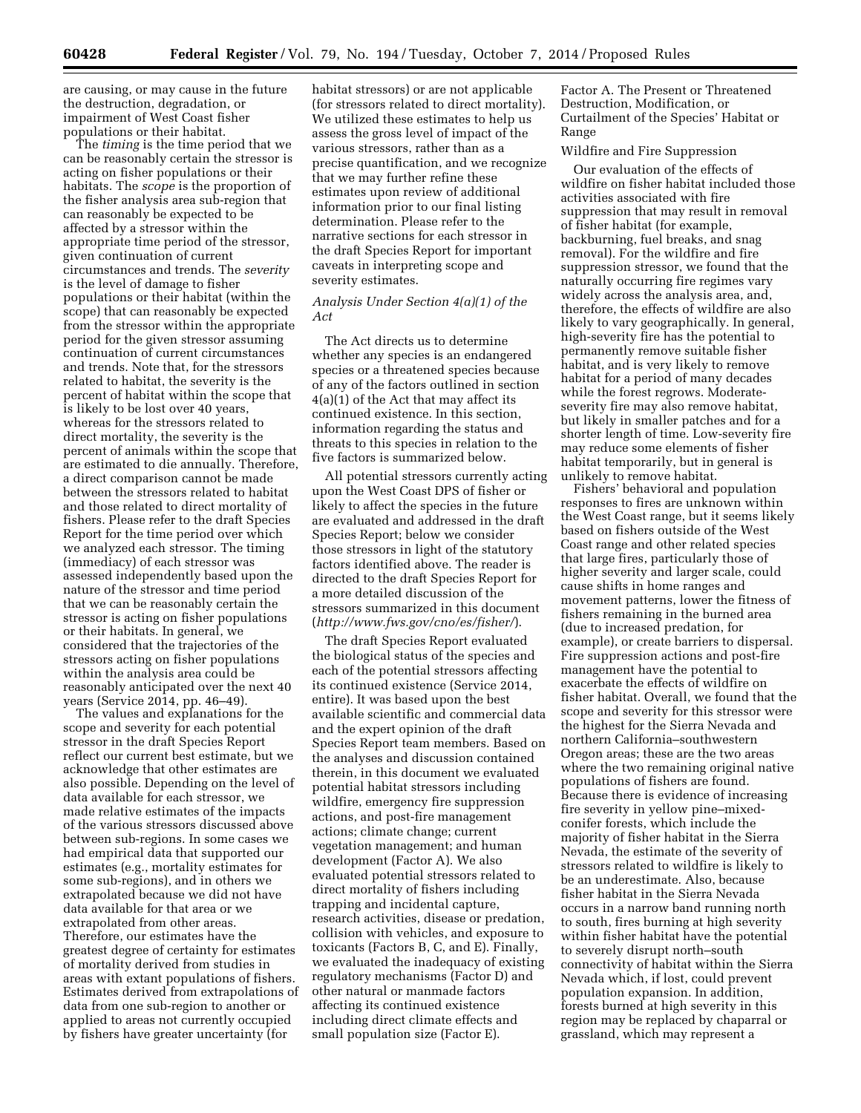are causing, or may cause in the future the destruction, degradation, or impairment of West Coast fisher populations or their habitat.

The *timing* is the time period that we can be reasonably certain the stressor is acting on fisher populations or their habitats. The *scope* is the proportion of the fisher analysis area sub-region that can reasonably be expected to be affected by a stressor within the appropriate time period of the stressor, given continuation of current circumstances and trends. The *severity*  is the level of damage to fisher populations or their habitat (within the scope) that can reasonably be expected from the stressor within the appropriate period for the given stressor assuming continuation of current circumstances and trends. Note that, for the stressors related to habitat, the severity is the percent of habitat within the scope that is likely to be lost over 40 years, whereas for the stressors related to direct mortality, the severity is the percent of animals within the scope that are estimated to die annually. Therefore, a direct comparison cannot be made between the stressors related to habitat and those related to direct mortality of fishers. Please refer to the draft Species Report for the time period over which we analyzed each stressor. The timing (immediacy) of each stressor was assessed independently based upon the nature of the stressor and time period that we can be reasonably certain the stressor is acting on fisher populations or their habitats. In general, we considered that the trajectories of the stressors acting on fisher populations within the analysis area could be reasonably anticipated over the next 40 years (Service 2014, pp. 46–49).

The values and explanations for the scope and severity for each potential stressor in the draft Species Report reflect our current best estimate, but we acknowledge that other estimates are also possible. Depending on the level of data available for each stressor, we made relative estimates of the impacts of the various stressors discussed above between sub-regions. In some cases we had empirical data that supported our estimates (e.g., mortality estimates for some sub-regions), and in others we extrapolated because we did not have data available for that area or we extrapolated from other areas. Therefore, our estimates have the greatest degree of certainty for estimates of mortality derived from studies in areas with extant populations of fishers. Estimates derived from extrapolations of data from one sub-region to another or applied to areas not currently occupied by fishers have greater uncertainty (for

habitat stressors) or are not applicable (for stressors related to direct mortality). We utilized these estimates to help us assess the gross level of impact of the various stressors, rather than as a precise quantification, and we recognize that we may further refine these estimates upon review of additional information prior to our final listing determination. Please refer to the narrative sections for each stressor in the draft Species Report for important caveats in interpreting scope and severity estimates.

# *Analysis Under Section 4(a)(1) of the Act*

The Act directs us to determine whether any species is an endangered species or a threatened species because of any of the factors outlined in section 4(a)(1) of the Act that may affect its continued existence. In this section, information regarding the status and threats to this species in relation to the five factors is summarized below.

All potential stressors currently acting upon the West Coast DPS of fisher or likely to affect the species in the future are evaluated and addressed in the draft Species Report; below we consider those stressors in light of the statutory factors identified above. The reader is directed to the draft Species Report for a more detailed discussion of the stressors summarized in this document (*<http://www.fws.gov/cno/es/fisher/>*).

The draft Species Report evaluated the biological status of the species and each of the potential stressors affecting its continued existence (Service 2014, entire). It was based upon the best available scientific and commercial data and the expert opinion of the draft Species Report team members. Based on the analyses and discussion contained therein, in this document we evaluated potential habitat stressors including wildfire, emergency fire suppression actions, and post-fire management actions; climate change; current vegetation management; and human development (Factor A). We also evaluated potential stressors related to direct mortality of fishers including trapping and incidental capture, research activities, disease or predation, collision with vehicles, and exposure to toxicants (Factors B, C, and E). Finally, we evaluated the inadequacy of existing regulatory mechanisms (Factor D) and other natural or manmade factors affecting its continued existence including direct climate effects and small population size (Factor E).

Factor A. The Present or Threatened Destruction, Modification, or Curtailment of the Species' Habitat or Range

### Wildfire and Fire Suppression

Our evaluation of the effects of wildfire on fisher habitat included those activities associated with fire suppression that may result in removal of fisher habitat (for example, backburning, fuel breaks, and snag removal). For the wildfire and fire suppression stressor, we found that the naturally occurring fire regimes vary widely across the analysis area, and, therefore, the effects of wildfire are also likely to vary geographically. In general, high-severity fire has the potential to permanently remove suitable fisher habitat, and is very likely to remove habitat for a period of many decades while the forest regrows. Moderateseverity fire may also remove habitat, but likely in smaller patches and for a shorter length of time. Low-severity fire may reduce some elements of fisher habitat temporarily, but in general is unlikely to remove habitat.

Fishers' behavioral and population responses to fires are unknown within the West Coast range, but it seems likely based on fishers outside of the West Coast range and other related species that large fires, particularly those of higher severity and larger scale, could cause shifts in home ranges and movement patterns, lower the fitness of fishers remaining in the burned area (due to increased predation, for example), or create barriers to dispersal. Fire suppression actions and post-fire management have the potential to exacerbate the effects of wildfire on fisher habitat. Overall, we found that the scope and severity for this stressor were the highest for the Sierra Nevada and northern California–southwestern Oregon areas; these are the two areas where the two remaining original native populations of fishers are found. Because there is evidence of increasing fire severity in yellow pine–mixedconifer forests, which include the majority of fisher habitat in the Sierra Nevada, the estimate of the severity of stressors related to wildfire is likely to be an underestimate. Also, because fisher habitat in the Sierra Nevada occurs in a narrow band running north to south, fires burning at high severity within fisher habitat have the potential to severely disrupt north–south connectivity of habitat within the Sierra Nevada which, if lost, could prevent population expansion. In addition, forests burned at high severity in this region may be replaced by chaparral or grassland, which may represent a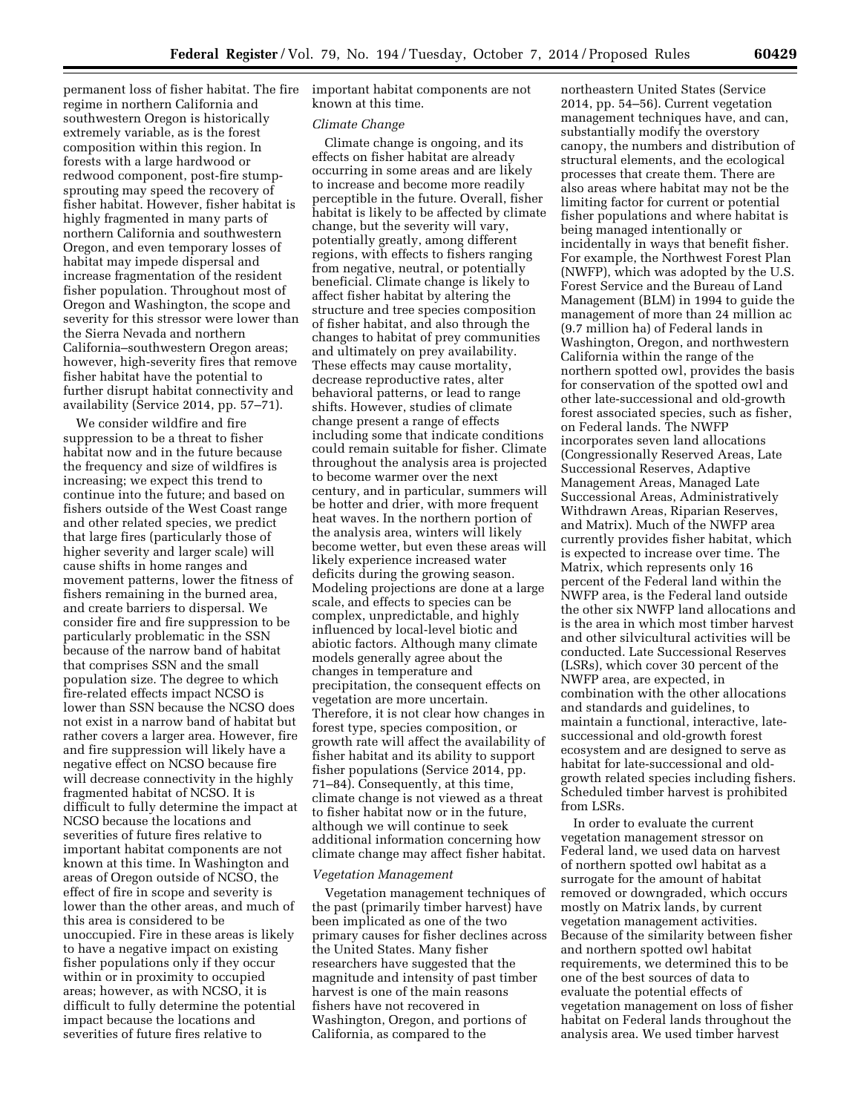permanent loss of fisher habitat. The fire regime in northern California and southwestern Oregon is historically extremely variable, as is the forest composition within this region. In forests with a large hardwood or redwood component, post-fire stumpsprouting may speed the recovery of fisher habitat. However, fisher habitat is highly fragmented in many parts of northern California and southwestern Oregon, and even temporary losses of habitat may impede dispersal and increase fragmentation of the resident fisher population. Throughout most of Oregon and Washington, the scope and severity for this stressor were lower than the Sierra Nevada and northern California–southwestern Oregon areas; however, high-severity fires that remove fisher habitat have the potential to further disrupt habitat connectivity and availability (Service 2014, pp. 57–71).

We consider wildfire and fire suppression to be a threat to fisher habitat now and in the future because the frequency and size of wildfires is increasing; we expect this trend to continue into the future; and based on fishers outside of the West Coast range and other related species, we predict that large fires (particularly those of higher severity and larger scale) will cause shifts in home ranges and movement patterns, lower the fitness of fishers remaining in the burned area, and create barriers to dispersal. We consider fire and fire suppression to be particularly problematic in the SSN because of the narrow band of habitat that comprises SSN and the small population size. The degree to which fire-related effects impact NCSO is lower than SSN because the NCSO does not exist in a narrow band of habitat but rather covers a larger area. However, fire and fire suppression will likely have a negative effect on NCSO because fire will decrease connectivity in the highly fragmented habitat of NCSO. It is difficult to fully determine the impact at NCSO because the locations and severities of future fires relative to important habitat components are not known at this time. In Washington and areas of Oregon outside of NCSO, the effect of fire in scope and severity is lower than the other areas, and much of this area is considered to be unoccupied. Fire in these areas is likely to have a negative impact on existing fisher populations only if they occur within or in proximity to occupied areas; however, as with NCSO, it is difficult to fully determine the potential impact because the locations and severities of future fires relative to

important habitat components are not known at this time.

#### *Climate Change*

Climate change is ongoing, and its effects on fisher habitat are already occurring in some areas and are likely to increase and become more readily perceptible in the future. Overall, fisher habitat is likely to be affected by climate change, but the severity will vary, potentially greatly, among different regions, with effects to fishers ranging from negative, neutral, or potentially beneficial. Climate change is likely to affect fisher habitat by altering the structure and tree species composition of fisher habitat, and also through the changes to habitat of prey communities and ultimately on prey availability. These effects may cause mortality, decrease reproductive rates, alter behavioral patterns, or lead to range shifts. However, studies of climate change present a range of effects including some that indicate conditions could remain suitable for fisher. Climate throughout the analysis area is projected to become warmer over the next century, and in particular, summers will be hotter and drier, with more frequent heat waves. In the northern portion of the analysis area, winters will likely become wetter, but even these areas will likely experience increased water deficits during the growing season. Modeling projections are done at a large scale, and effects to species can be complex, unpredictable, and highly influenced by local-level biotic and abiotic factors. Although many climate models generally agree about the changes in temperature and precipitation, the consequent effects on vegetation are more uncertain. Therefore, it is not clear how changes in forest type, species composition, or growth rate will affect the availability of fisher habitat and its ability to support fisher populations (Service 2014, pp. 71–84). Consequently, at this time, climate change is not viewed as a threat to fisher habitat now or in the future, although we will continue to seek additional information concerning how climate change may affect fisher habitat.

#### *Vegetation Management*

Vegetation management techniques of the past (primarily timber harvest) have been implicated as one of the two primary causes for fisher declines across the United States. Many fisher researchers have suggested that the magnitude and intensity of past timber harvest is one of the main reasons fishers have not recovered in Washington, Oregon, and portions of California, as compared to the

northeastern United States (Service 2014, pp. 54–56). Current vegetation management techniques have, and can, substantially modify the overstory canopy, the numbers and distribution of structural elements, and the ecological processes that create them. There are also areas where habitat may not be the limiting factor for current or potential fisher populations and where habitat is being managed intentionally or incidentally in ways that benefit fisher. For example, the Northwest Forest Plan (NWFP), which was adopted by the U.S. Forest Service and the Bureau of Land Management (BLM) in 1994 to guide the management of more than 24 million ac (9.7 million ha) of Federal lands in Washington, Oregon, and northwestern California within the range of the northern spotted owl, provides the basis for conservation of the spotted owl and other late-successional and old-growth forest associated species, such as fisher, on Federal lands. The NWFP incorporates seven land allocations (Congressionally Reserved Areas, Late Successional Reserves, Adaptive Management Areas, Managed Late Successional Areas, Administratively Withdrawn Areas, Riparian Reserves, and Matrix). Much of the NWFP area currently provides fisher habitat, which is expected to increase over time. The Matrix, which represents only 16 percent of the Federal land within the NWFP area, is the Federal land outside the other six NWFP land allocations and is the area in which most timber harvest and other silvicultural activities will be conducted. Late Successional Reserves (LSRs), which cover 30 percent of the NWFP area, are expected, in combination with the other allocations and standards and guidelines, to maintain a functional, interactive, latesuccessional and old-growth forest ecosystem and are designed to serve as habitat for late-successional and oldgrowth related species including fishers. Scheduled timber harvest is prohibited from LSRs.

In order to evaluate the current vegetation management stressor on Federal land, we used data on harvest of northern spotted owl habitat as a surrogate for the amount of habitat removed or downgraded, which occurs mostly on Matrix lands, by current vegetation management activities. Because of the similarity between fisher and northern spotted owl habitat requirements, we determined this to be one of the best sources of data to evaluate the potential effects of vegetation management on loss of fisher habitat on Federal lands throughout the analysis area. We used timber harvest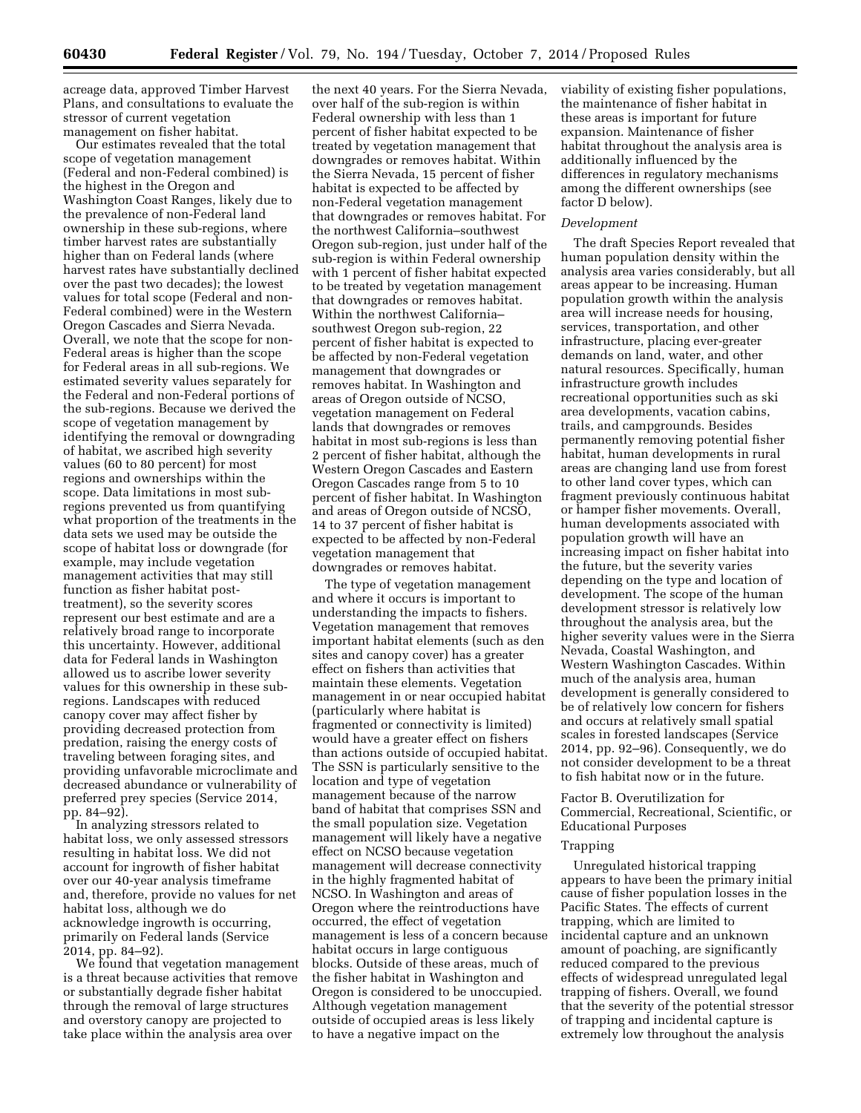acreage data, approved Timber Harvest Plans, and consultations to evaluate the stressor of current vegetation management on fisher habitat.

Our estimates revealed that the total scope of vegetation management (Federal and non-Federal combined) is the highest in the Oregon and Washington Coast Ranges, likely due to the prevalence of non-Federal land ownership in these sub-regions, where timber harvest rates are substantially higher than on Federal lands (where harvest rates have substantially declined over the past two decades); the lowest values for total scope (Federal and non-Federal combined) were in the Western Oregon Cascades and Sierra Nevada. Overall, we note that the scope for non-Federal areas is higher than the scope for Federal areas in all sub-regions. We estimated severity values separately for the Federal and non-Federal portions of the sub-regions. Because we derived the scope of vegetation management by identifying the removal or downgrading of habitat, we ascribed high severity values (60 to 80 percent) for most regions and ownerships within the scope. Data limitations in most subregions prevented us from quantifying what proportion of the treatments in the data sets we used may be outside the scope of habitat loss or downgrade (for example, may include vegetation management activities that may still function as fisher habitat posttreatment), so the severity scores represent our best estimate and are a relatively broad range to incorporate this uncertainty. However, additional data for Federal lands in Washington allowed us to ascribe lower severity values for this ownership in these subregions. Landscapes with reduced canopy cover may affect fisher by providing decreased protection from predation, raising the energy costs of traveling between foraging sites, and providing unfavorable microclimate and decreased abundance or vulnerability of preferred prey species (Service 2014, pp. 84–92).

In analyzing stressors related to habitat loss, we only assessed stressors resulting in habitat loss. We did not account for ingrowth of fisher habitat over our 40-year analysis timeframe and, therefore, provide no values for net habitat loss, although we do acknowledge ingrowth is occurring, primarily on Federal lands (Service 2014, pp. 84–92).

We found that vegetation management is a threat because activities that remove or substantially degrade fisher habitat through the removal of large structures and overstory canopy are projected to take place within the analysis area over

the next 40 years. For the Sierra Nevada, over half of the sub-region is within Federal ownership with less than 1 percent of fisher habitat expected to be treated by vegetation management that downgrades or removes habitat. Within the Sierra Nevada, 15 percent of fisher habitat is expected to be affected by non-Federal vegetation management that downgrades or removes habitat. For the northwest California–southwest Oregon sub-region, just under half of the sub-region is within Federal ownership with 1 percent of fisher habitat expected to be treated by vegetation management that downgrades or removes habitat. Within the northwest California– southwest Oregon sub-region, 22 percent of fisher habitat is expected to be affected by non-Federal vegetation management that downgrades or removes habitat. In Washington and areas of Oregon outside of NCSO, vegetation management on Federal lands that downgrades or removes habitat in most sub-regions is less than 2 percent of fisher habitat, although the Western Oregon Cascades and Eastern Oregon Cascades range from 5 to 10 percent of fisher habitat. In Washington and areas of Oregon outside of NCSO, 14 to 37 percent of fisher habitat is expected to be affected by non-Federal vegetation management that downgrades or removes habitat.

The type of vegetation management and where it occurs is important to understanding the impacts to fishers. Vegetation management that removes important habitat elements (such as den sites and canopy cover) has a greater effect on fishers than activities that maintain these elements. Vegetation management in or near occupied habitat (particularly where habitat is fragmented or connectivity is limited) would have a greater effect on fishers than actions outside of occupied habitat. The SSN is particularly sensitive to the location and type of vegetation management because of the narrow band of habitat that comprises SSN and the small population size. Vegetation management will likely have a negative effect on NCSO because vegetation management will decrease connectivity in the highly fragmented habitat of NCSO. In Washington and areas of Oregon where the reintroductions have occurred, the effect of vegetation management is less of a concern because habitat occurs in large contiguous blocks. Outside of these areas, much of the fisher habitat in Washington and Oregon is considered to be unoccupied. Although vegetation management outside of occupied areas is less likely to have a negative impact on the

viability of existing fisher populations, the maintenance of fisher habitat in these areas is important for future expansion. Maintenance of fisher habitat throughout the analysis area is additionally influenced by the differences in regulatory mechanisms among the different ownerships (see factor D below).

#### *Development*

The draft Species Report revealed that human population density within the analysis area varies considerably, but all areas appear to be increasing. Human population growth within the analysis area will increase needs for housing, services, transportation, and other infrastructure, placing ever-greater demands on land, water, and other natural resources. Specifically, human infrastructure growth includes recreational opportunities such as ski area developments, vacation cabins, trails, and campgrounds. Besides permanently removing potential fisher habitat, human developments in rural areas are changing land use from forest to other land cover types, which can fragment previously continuous habitat or hamper fisher movements. Overall, human developments associated with population growth will have an increasing impact on fisher habitat into the future, but the severity varies depending on the type and location of development. The scope of the human development stressor is relatively low throughout the analysis area, but the higher severity values were in the Sierra Nevada, Coastal Washington, and Western Washington Cascades. Within much of the analysis area, human development is generally considered to be of relatively low concern for fishers and occurs at relatively small spatial scales in forested landscapes (Service 2014, pp. 92–96). Consequently, we do not consider development to be a threat to fish habitat now or in the future.

# Factor B. Overutilization for Commercial, Recreational, Scientific, or Educational Purposes

#### Trapping

Unregulated historical trapping appears to have been the primary initial cause of fisher population losses in the Pacific States. The effects of current trapping, which are limited to incidental capture and an unknown amount of poaching, are significantly reduced compared to the previous effects of widespread unregulated legal trapping of fishers. Overall, we found that the severity of the potential stressor of trapping and incidental capture is extremely low throughout the analysis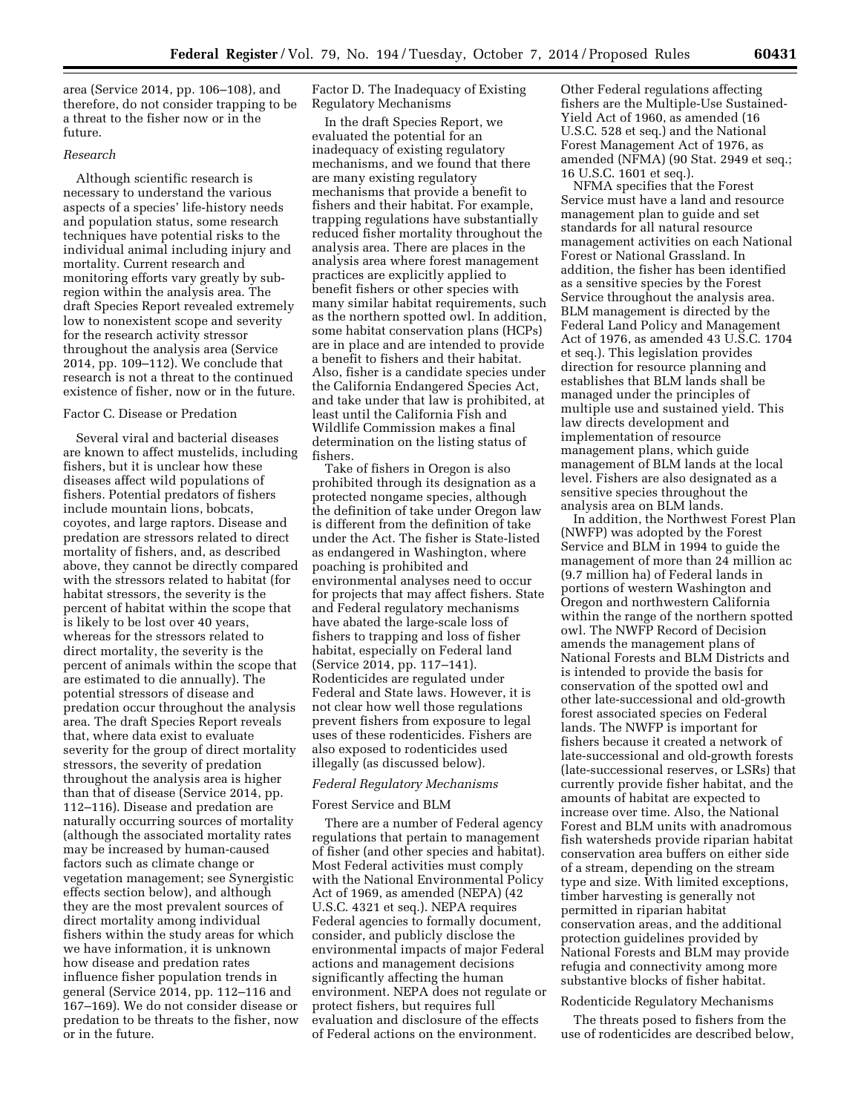area (Service 2014, pp. 106–108), and therefore, do not consider trapping to be a threat to the fisher now or in the future.

### *Research*

Although scientific research is necessary to understand the various aspects of a species' life-history needs and population status, some research techniques have potential risks to the individual animal including injury and mortality. Current research and monitoring efforts vary greatly by subregion within the analysis area. The draft Species Report revealed extremely low to nonexistent scope and severity for the research activity stressor throughout the analysis area (Service 2014, pp. 109–112). We conclude that research is not a threat to the continued existence of fisher, now or in the future.

#### Factor C. Disease or Predation

Several viral and bacterial diseases are known to affect mustelids, including fishers, but it is unclear how these diseases affect wild populations of fishers. Potential predators of fishers include mountain lions, bobcats, coyotes, and large raptors. Disease and predation are stressors related to direct mortality of fishers, and, as described above, they cannot be directly compared with the stressors related to habitat (for habitat stressors, the severity is the percent of habitat within the scope that is likely to be lost over 40 years, whereas for the stressors related to direct mortality, the severity is the percent of animals within the scope that are estimated to die annually). The potential stressors of disease and predation occur throughout the analysis area. The draft Species Report reveals that, where data exist to evaluate severity for the group of direct mortality stressors, the severity of predation throughout the analysis area is higher than that of disease (Service 2014, pp. 112–116). Disease and predation are naturally occurring sources of mortality (although the associated mortality rates may be increased by human-caused factors such as climate change or vegetation management; see Synergistic effects section below), and although they are the most prevalent sources of direct mortality among individual fishers within the study areas for which we have information, it is unknown how disease and predation rates influence fisher population trends in general (Service 2014, pp. 112–116 and 167–169). We do not consider disease or predation to be threats to the fisher, now or in the future.

Factor D. The Inadequacy of Existing Regulatory Mechanisms

In the draft Species Report, we evaluated the potential for an inadequacy of existing regulatory mechanisms, and we found that there are many existing regulatory mechanisms that provide a benefit to fishers and their habitat. For example, trapping regulations have substantially reduced fisher mortality throughout the analysis area. There are places in the analysis area where forest management practices are explicitly applied to benefit fishers or other species with many similar habitat requirements, such as the northern spotted owl. In addition, some habitat conservation plans (HCPs) are in place and are intended to provide a benefit to fishers and their habitat. Also, fisher is a candidate species under the California Endangered Species Act, and take under that law is prohibited, at least until the California Fish and Wildlife Commission makes a final determination on the listing status of fishers.

Take of fishers in Oregon is also prohibited through its designation as a protected nongame species, although the definition of take under Oregon law is different from the definition of take under the Act. The fisher is State-listed as endangered in Washington, where poaching is prohibited and environmental analyses need to occur for projects that may affect fishers. State and Federal regulatory mechanisms have abated the large-scale loss of fishers to trapping and loss of fisher habitat, especially on Federal land (Service 2014, pp. 117–141). Rodenticides are regulated under Federal and State laws. However, it is not clear how well those regulations prevent fishers from exposure to legal uses of these rodenticides. Fishers are also exposed to rodenticides used illegally (as discussed below).

### *Federal Regulatory Mechanisms*

### Forest Service and BLM

There are a number of Federal agency regulations that pertain to management of fisher (and other species and habitat). Most Federal activities must comply with the National Environmental Policy Act of 1969, as amended (NEPA) (42 U.S.C. 4321 et seq.). NEPA requires Federal agencies to formally document, consider, and publicly disclose the environmental impacts of major Federal actions and management decisions significantly affecting the human environment. NEPA does not regulate or protect fishers, but requires full evaluation and disclosure of the effects of Federal actions on the environment.

Other Federal regulations affecting fishers are the Multiple-Use Sustained-Yield Act of 1960, as amended (16 U.S.C. 528 et seq.) and the National Forest Management Act of 1976, as amended (NFMA) (90 Stat. 2949 et seq.; 16 U.S.C. 1601 et seq.).

NFMA specifies that the Forest Service must have a land and resource management plan to guide and set standards for all natural resource management activities on each National Forest or National Grassland. In addition, the fisher has been identified as a sensitive species by the Forest Service throughout the analysis area. BLM management is directed by the Federal Land Policy and Management Act of 1976, as amended 43 U.S.C. 1704 et seq.). This legislation provides direction for resource planning and establishes that BLM lands shall be managed under the principles of multiple use and sustained yield. This law directs development and implementation of resource management plans, which guide management of BLM lands at the local level. Fishers are also designated as a sensitive species throughout the analysis area on BLM lands.

In addition, the Northwest Forest Plan (NWFP) was adopted by the Forest Service and BLM in 1994 to guide the management of more than 24 million ac (9.7 million ha) of Federal lands in portions of western Washington and Oregon and northwestern California within the range of the northern spotted owl. The NWFP Record of Decision amends the management plans of National Forests and BLM Districts and is intended to provide the basis for conservation of the spotted owl and other late-successional and old-growth forest associated species on Federal lands. The NWFP is important for fishers because it created a network of late-successional and old-growth forests (late-successional reserves, or LSRs) that currently provide fisher habitat, and the amounts of habitat are expected to increase over time. Also, the National Forest and BLM units with anadromous fish watersheds provide riparian habitat conservation area buffers on either side of a stream, depending on the stream type and size. With limited exceptions, timber harvesting is generally not permitted in riparian habitat conservation areas, and the additional protection guidelines provided by National Forests and BLM may provide refugia and connectivity among more substantive blocks of fisher habitat.

# Rodenticide Regulatory Mechanisms

The threats posed to fishers from the use of rodenticides are described below,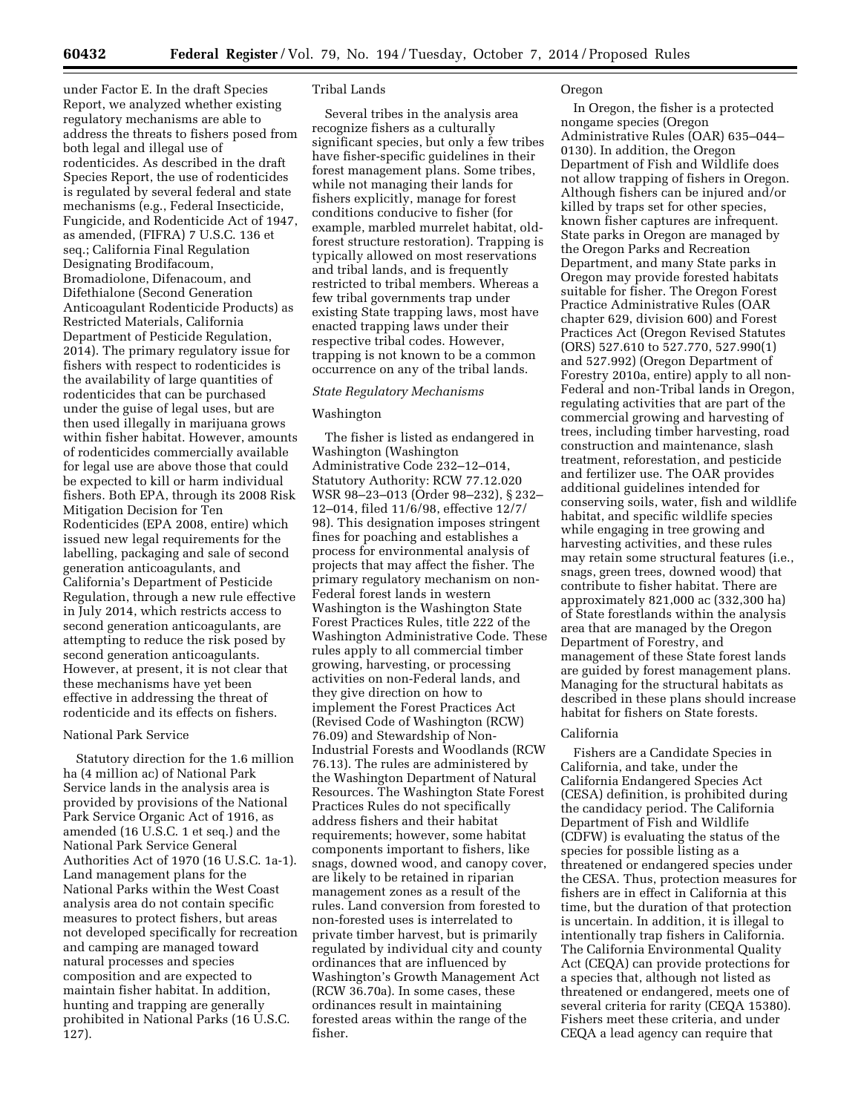under Factor E. In the draft Species Report, we analyzed whether existing regulatory mechanisms are able to address the threats to fishers posed from both legal and illegal use of rodenticides. As described in the draft Species Report, the use of rodenticides is regulated by several federal and state mechanisms (e.g., Federal Insecticide, Fungicide, and Rodenticide Act of 1947, as amended, (FIFRA) 7 U.S.C. 136 et seq.; California Final Regulation Designating Brodifacoum, Bromadiolone, Difenacoum, and Difethialone (Second Generation Anticoagulant Rodenticide Products) as Restricted Materials, California Department of Pesticide Regulation, 2014). The primary regulatory issue for fishers with respect to rodenticides is the availability of large quantities of rodenticides that can be purchased under the guise of legal uses, but are then used illegally in marijuana grows within fisher habitat. However, amounts of rodenticides commercially available for legal use are above those that could be expected to kill or harm individual fishers. Both EPA, through its 2008 Risk Mitigation Decision for Ten Rodenticides (EPA 2008, entire) which issued new legal requirements for the labelling, packaging and sale of second generation anticoagulants, and California's Department of Pesticide Regulation, through a new rule effective in July 2014, which restricts access to second generation anticoagulants, are attempting to reduce the risk posed by second generation anticoagulants. However, at present, it is not clear that these mechanisms have yet been effective in addressing the threat of rodenticide and its effects on fishers.

### National Park Service

Statutory direction for the 1.6 million ha (4 million ac) of National Park Service lands in the analysis area is provided by provisions of the National Park Service Organic Act of 1916, as amended (16 U.S.C. 1 et seq.) and the National Park Service General Authorities Act of 1970 (16 U.S.C. 1a-1). Land management plans for the National Parks within the West Coast analysis area do not contain specific measures to protect fishers, but areas not developed specifically for recreation and camping are managed toward natural processes and species composition and are expected to maintain fisher habitat. In addition, hunting and trapping are generally prohibited in National Parks (16 U.S.C. 127).

### Tribal Lands

Several tribes in the analysis area recognize fishers as a culturally significant species, but only a few tribes have fisher-specific guidelines in their forest management plans. Some tribes, while not managing their lands for fishers explicitly, manage for forest conditions conducive to fisher (for example, marbled murrelet habitat, oldforest structure restoration). Trapping is typically allowed on most reservations and tribal lands, and is frequently restricted to tribal members. Whereas a few tribal governments trap under existing State trapping laws, most have enacted trapping laws under their respective tribal codes. However, trapping is not known to be a common occurrence on any of the tribal lands.

# *State Regulatory Mechanisms*

#### Washington

The fisher is listed as endangered in Washington (Washington Administrative Code 232–12–014, Statutory Authority: RCW 77.12.020 WSR 98–23–013 (Order 98–232), § 232– 12–014, filed 11/6/98, effective 12/7/ 98). This designation imposes stringent fines for poaching and establishes a process for environmental analysis of projects that may affect the fisher. The primary regulatory mechanism on non-Federal forest lands in western Washington is the Washington State Forest Practices Rules, title 222 of the Washington Administrative Code. These rules apply to all commercial timber growing, harvesting, or processing activities on non-Federal lands, and they give direction on how to implement the Forest Practices Act (Revised Code of Washington (RCW) 76.09) and Stewardship of Non-Industrial Forests and Woodlands (RCW 76.13). The rules are administered by the Washington Department of Natural Resources. The Washington State Forest Practices Rules do not specifically address fishers and their habitat requirements; however, some habitat components important to fishers, like snags, downed wood, and canopy cover, are likely to be retained in riparian management zones as a result of the rules. Land conversion from forested to non-forested uses is interrelated to private timber harvest, but is primarily regulated by individual city and county ordinances that are influenced by Washington's Growth Management Act (RCW 36.70a). In some cases, these ordinances result in maintaining forested areas within the range of the fisher.

### Oregon

In Oregon, the fisher is a protected nongame species (Oregon Administrative Rules (OAR) 635–044– 0130). In addition, the Oregon Department of Fish and Wildlife does not allow trapping of fishers in Oregon. Although fishers can be injured and/or killed by traps set for other species, known fisher captures are infrequent. State parks in Oregon are managed by the Oregon Parks and Recreation Department, and many State parks in Oregon may provide forested habitats suitable for fisher. The Oregon Forest Practice Administrative Rules (OAR chapter 629, division 600) and Forest Practices Act (Oregon Revised Statutes (ORS) 527.610 to 527.770, 527.990(1) and 527.992) (Oregon Department of Forestry 2010a, entire) apply to all non-Federal and non-Tribal lands in Oregon, regulating activities that are part of the commercial growing and harvesting of trees, including timber harvesting, road construction and maintenance, slash treatment, reforestation, and pesticide and fertilizer use. The OAR provides additional guidelines intended for conserving soils, water, fish and wildlife habitat, and specific wildlife species while engaging in tree growing and harvesting activities, and these rules may retain some structural features (i.e., snags, green trees, downed wood) that contribute to fisher habitat. There are approximately 821,000 ac (332,300 ha) of State forestlands within the analysis area that are managed by the Oregon Department of Forestry, and management of these State forest lands are guided by forest management plans. Managing for the structural habitats as described in these plans should increase habitat for fishers on State forests.

#### California

Fishers are a Candidate Species in California, and take, under the California Endangered Species Act (CESA) definition, is prohibited during the candidacy period. The California Department of Fish and Wildlife (CDFW) is evaluating the status of the species for possible listing as a threatened or endangered species under the CESA. Thus, protection measures for fishers are in effect in California at this time, but the duration of that protection is uncertain. In addition, it is illegal to intentionally trap fishers in California. The California Environmental Quality Act (CEQA) can provide protections for a species that, although not listed as threatened or endangered, meets one of several criteria for rarity (CEQA 15380). Fishers meet these criteria, and under CEQA a lead agency can require that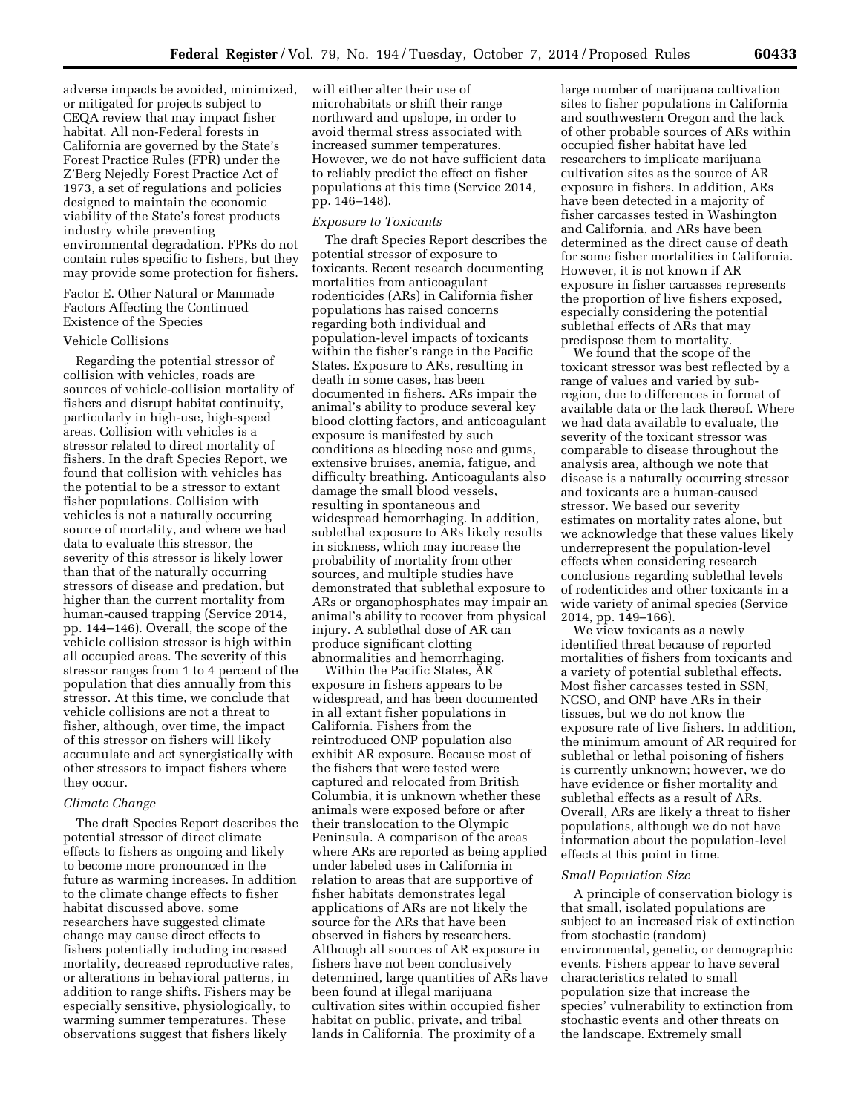adverse impacts be avoided, minimized, or mitigated for projects subject to CEQA review that may impact fisher habitat. All non-Federal forests in California are governed by the State's Forest Practice Rules (FPR) under the Z'Berg Nejedly Forest Practice Act of 1973, a set of regulations and policies designed to maintain the economic viability of the State's forest products industry while preventing environmental degradation. FPRs do not contain rules specific to fishers, but they may provide some protection for fishers.

### Factor E. Other Natural or Manmade Factors Affecting the Continued Existence of the Species

#### Vehicle Collisions

Regarding the potential stressor of collision with vehicles, roads are sources of vehicle-collision mortality of fishers and disrupt habitat continuity, particularly in high-use, high-speed areas. Collision with vehicles is a stressor related to direct mortality of fishers. In the draft Species Report, we found that collision with vehicles has the potential to be a stressor to extant fisher populations. Collision with vehicles is not a naturally occurring source of mortality, and where we had data to evaluate this stressor, the severity of this stressor is likely lower than that of the naturally occurring stressors of disease and predation, but higher than the current mortality from human-caused trapping (Service 2014, pp. 144–146). Overall, the scope of the vehicle collision stressor is high within all occupied areas. The severity of this stressor ranges from 1 to 4 percent of the population that dies annually from this stressor. At this time, we conclude that vehicle collisions are not a threat to fisher, although, over time, the impact of this stressor on fishers will likely accumulate and act synergistically with other stressors to impact fishers where they occur.

#### *Climate Change*

The draft Species Report describes the potential stressor of direct climate effects to fishers as ongoing and likely to become more pronounced in the future as warming increases. In addition to the climate change effects to fisher habitat discussed above, some researchers have suggested climate change may cause direct effects to fishers potentially including increased mortality, decreased reproductive rates, or alterations in behavioral patterns, in addition to range shifts. Fishers may be especially sensitive, physiologically, to warming summer temperatures. These observations suggest that fishers likely

will either alter their use of microhabitats or shift their range northward and upslope, in order to avoid thermal stress associated with increased summer temperatures. However, we do not have sufficient data to reliably predict the effect on fisher populations at this time (Service 2014, pp. 146–148).

### *Exposure to Toxicants*

The draft Species Report describes the potential stressor of exposure to toxicants. Recent research documenting mortalities from anticoagulant rodenticides (ARs) in California fisher populations has raised concerns regarding both individual and population-level impacts of toxicants within the fisher's range in the Pacific States. Exposure to ARs, resulting in death in some cases, has been documented in fishers. ARs impair the animal's ability to produce several key blood clotting factors, and anticoagulant exposure is manifested by such conditions as bleeding nose and gums, extensive bruises, anemia, fatigue, and difficulty breathing. Anticoagulants also damage the small blood vessels, resulting in spontaneous and widespread hemorrhaging. In addition, sublethal exposure to ARs likely results in sickness, which may increase the probability of mortality from other sources, and multiple studies have demonstrated that sublethal exposure to ARs or organophosphates may impair an animal's ability to recover from physical injury. A sublethal dose of AR can produce significant clotting abnormalities and hemorrhaging.

Within the Pacific States, AR exposure in fishers appears to be widespread, and has been documented in all extant fisher populations in California. Fishers from the reintroduced ONP population also exhibit AR exposure. Because most of the fishers that were tested were captured and relocated from British Columbia, it is unknown whether these animals were exposed before or after their translocation to the Olympic Peninsula. A comparison of the areas where ARs are reported as being applied under labeled uses in California in relation to areas that are supportive of fisher habitats demonstrates legal applications of ARs are not likely the source for the ARs that have been observed in fishers by researchers. Although all sources of AR exposure in fishers have not been conclusively determined, large quantities of ARs have been found at illegal marijuana cultivation sites within occupied fisher habitat on public, private, and tribal lands in California. The proximity of a

large number of marijuana cultivation sites to fisher populations in California and southwestern Oregon and the lack of other probable sources of ARs within occupied fisher habitat have led researchers to implicate marijuana cultivation sites as the source of AR exposure in fishers. In addition, ARs have been detected in a majority of fisher carcasses tested in Washington and California, and ARs have been determined as the direct cause of death for some fisher mortalities in California. However, it is not known if AR exposure in fisher carcasses represents the proportion of live fishers exposed, especially considering the potential sublethal effects of ARs that may predispose them to mortality.

We found that the scope of the toxicant stressor was best reflected by a range of values and varied by subregion, due to differences in format of available data or the lack thereof. Where we had data available to evaluate, the severity of the toxicant stressor was comparable to disease throughout the analysis area, although we note that disease is a naturally occurring stressor and toxicants are a human-caused stressor. We based our severity estimates on mortality rates alone, but we acknowledge that these values likely underrepresent the population-level effects when considering research conclusions regarding sublethal levels of rodenticides and other toxicants in a wide variety of animal species (Service 2014, pp. 149–166).

We view toxicants as a newly identified threat because of reported mortalities of fishers from toxicants and a variety of potential sublethal effects. Most fisher carcasses tested in SSN, NCSO, and ONP have ARs in their tissues, but we do not know the exposure rate of live fishers. In addition, the minimum amount of AR required for sublethal or lethal poisoning of fishers is currently unknown; however, we do have evidence or fisher mortality and sublethal effects as a result of ARs. Overall, ARs are likely a threat to fisher populations, although we do not have information about the population-level effects at this point in time.

#### *Small Population Size*

A principle of conservation biology is that small, isolated populations are subject to an increased risk of extinction from stochastic (random) environmental, genetic, or demographic events. Fishers appear to have several characteristics related to small population size that increase the species' vulnerability to extinction from stochastic events and other threats on the landscape. Extremely small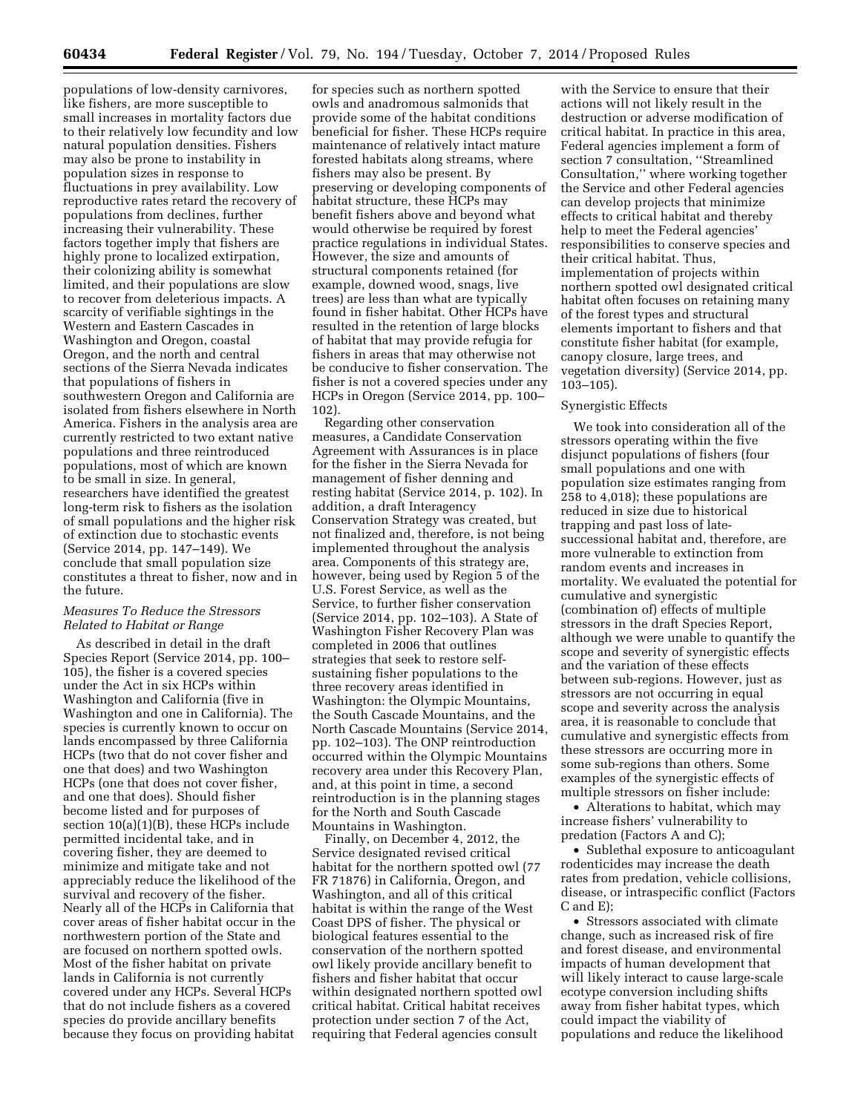populations of low-density carnivores, like fishers, are more susceptible to small increases in mortality factors due to their relatively low fecundity and low natural population densities. Fishers may also be prone to instability in population sizes in response to fluctuations in prey availability. Low reproductive rates retard the recovery of populations from declines, further increasing their vulnerability. These factors together imply that fishers are highly prone to localized extirpation, their colonizing ability is somewhat limited, and their populations are slow to recover from deleterious impacts. A scarcity of verifiable sightings in the Western and Eastern Cascades in Washington and Oregon, coastal Oregon, and the north and central sections of the Sierra Nevada indicates that populations of fishers in southwestern Oregon and California are isolated from fishers elsewhere in North America. Fishers in the analysis area are currently restricted to two extant native populations and three reintroduced populations, most of which are known to be small in size. In general, researchers have identified the greatest long-term risk to fishers as the isolation of small populations and the higher risk of extinction due to stochastic events (Service 2014, pp. 147–149). We conclude that small population size constitutes a threat to fisher, now and in the future.

### *Measures To Reduce the Stressors Related to Habitat or Range*

As described in detail in the draft Species Report (Service 2014, pp. 100– 105), the fisher is a covered species under the Act in six HCPs within Washington and California (five in Washington and one in California). The species is currently known to occur on lands encompassed by three California HCPs (two that do not cover fisher and one that does) and two Washington HCPs (one that does not cover fisher, and one that does). Should fisher become listed and for purposes of section 10(a)(1)(B), these HCPs include permitted incidental take, and in covering fisher, they are deemed to minimize and mitigate take and not appreciably reduce the likelihood of the survival and recovery of the fisher. Nearly all of the HCPs in California that cover areas of fisher habitat occur in the northwestern portion of the State and are focused on northern spotted owls. Most of the fisher habitat on private lands in California is not currently covered under any HCPs. Several HCPs that do not include fishers as a covered species do provide ancillary benefits because they focus on providing habitat

for species such as northern spotted owls and anadromous salmonids that provide some of the habitat conditions beneficial for fisher. These HCPs require maintenance of relatively intact mature forested habitats along streams, where fishers may also be present. By preserving or developing components of habitat structure, these HCPs may benefit fishers above and beyond what would otherwise be required by forest practice regulations in individual States. However, the size and amounts of structural components retained (for example, downed wood, snags, live trees) are less than what are typically found in fisher habitat. Other HCPs have resulted in the retention of large blocks of habitat that may provide refugia for fishers in areas that may otherwise not be conducive to fisher conservation. The fisher is not a covered species under any HCPs in Oregon (Service 2014, pp. 100– 102).

Regarding other conservation measures, a Candidate Conservation Agreement with Assurances is in place for the fisher in the Sierra Nevada for management of fisher denning and resting habitat (Service 2014, p. 102). In addition, a draft Interagency Conservation Strategy was created, but not finalized and, therefore, is not being implemented throughout the analysis area. Components of this strategy are, however, being used by Region 5 of the U.S. Forest Service, as well as the Service, to further fisher conservation (Service 2014, pp. 102–103). A State of Washington Fisher Recovery Plan was completed in 2006 that outlines strategies that seek to restore selfsustaining fisher populations to the three recovery areas identified in Washington: the Olympic Mountains, the South Cascade Mountains, and the North Cascade Mountains (Service 2014, pp. 102–103). The ONP reintroduction occurred within the Olympic Mountains recovery area under this Recovery Plan, and, at this point in time, a second reintroduction is in the planning stages for the North and South Cascade Mountains in Washington.

Finally, on December 4, 2012, the Service designated revised critical habitat for the northern spotted owl (77 FR 71876) in California, Oregon, and Washington, and all of this critical habitat is within the range of the West Coast DPS of fisher. The physical or biological features essential to the conservation of the northern spotted owl likely provide ancillary benefit to fishers and fisher habitat that occur within designated northern spotted owl critical habitat. Critical habitat receives protection under section 7 of the Act, requiring that Federal agencies consult

with the Service to ensure that their actions will not likely result in the destruction or adverse modification of critical habitat. In practice in this area, Federal agencies implement a form of section 7 consultation, ''Streamlined Consultation,'' where working together the Service and other Federal agencies can develop projects that minimize effects to critical habitat and thereby help to meet the Federal agencies' responsibilities to conserve species and their critical habitat. Thus, implementation of projects within northern spotted owl designated critical habitat often focuses on retaining many of the forest types and structural elements important to fishers and that constitute fisher habitat (for example, canopy closure, large trees, and vegetation diversity) (Service 2014, pp. 103–105).

#### Synergistic Effects

We took into consideration all of the stressors operating within the five disjunct populations of fishers (four small populations and one with population size estimates ranging from 258 to 4,018); these populations are reduced in size due to historical trapping and past loss of latesuccessional habitat and, therefore, are more vulnerable to extinction from random events and increases in mortality. We evaluated the potential for cumulative and synergistic (combination of) effects of multiple stressors in the draft Species Report, although we were unable to quantify the scope and severity of synergistic effects and the variation of these effects between sub-regions. However, just as stressors are not occurring in equal scope and severity across the analysis area, it is reasonable to conclude that cumulative and synergistic effects from these stressors are occurring more in some sub-regions than others. Some examples of the synergistic effects of multiple stressors on fisher include:

• Alterations to habitat, which may increase fishers' vulnerability to predation (Factors A and C);

• Sublethal exposure to anticoagulant rodenticides may increase the death rates from predation, vehicle collisions, disease, or intraspecific conflict (Factors C and E);

• Stressors associated with climate change, such as increased risk of fire and forest disease, and environmental impacts of human development that will likely interact to cause large-scale ecotype conversion including shifts away from fisher habitat types, which could impact the viability of populations and reduce the likelihood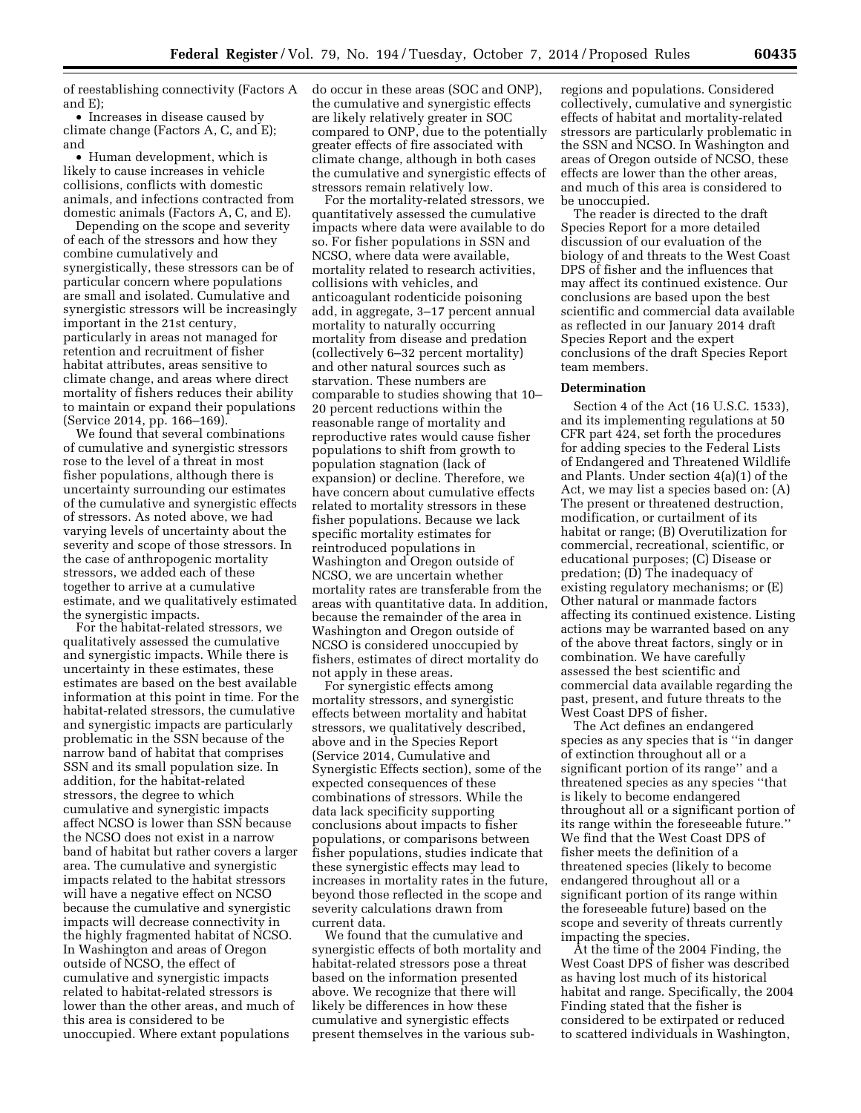of reestablishing connectivity (Factors A and E);

• Increases in disease caused by climate change (Factors A, C, and E); and

• Human development, which is likely to cause increases in vehicle collisions, conflicts with domestic animals, and infections contracted from domestic animals (Factors A, C, and E).

Depending on the scope and severity of each of the stressors and how they combine cumulatively and synergistically, these stressors can be of particular concern where populations are small and isolated. Cumulative and synergistic stressors will be increasingly important in the 21st century, particularly in areas not managed for retention and recruitment of fisher habitat attributes, areas sensitive to climate change, and areas where direct mortality of fishers reduces their ability to maintain or expand their populations (Service 2014, pp. 166–169).

We found that several combinations of cumulative and synergistic stressors rose to the level of a threat in most fisher populations, although there is uncertainty surrounding our estimates of the cumulative and synergistic effects of stressors. As noted above, we had varying levels of uncertainty about the severity and scope of those stressors. In the case of anthropogenic mortality stressors, we added each of these together to arrive at a cumulative estimate, and we qualitatively estimated the synergistic impacts.

For the habitat-related stressors, we qualitatively assessed the cumulative and synergistic impacts. While there is uncertainty in these estimates, these estimates are based on the best available information at this point in time. For the habitat-related stressors, the cumulative and synergistic impacts are particularly problematic in the SSN because of the narrow band of habitat that comprises SSN and its small population size. In addition, for the habitat-related stressors, the degree to which cumulative and synergistic impacts affect NCSO is lower than SSN because the NCSO does not exist in a narrow band of habitat but rather covers a larger area. The cumulative and synergistic impacts related to the habitat stressors will have a negative effect on NCSO because the cumulative and synergistic impacts will decrease connectivity in the highly fragmented habitat of NCSO. In Washington and areas of Oregon outside of NCSO, the effect of cumulative and synergistic impacts related to habitat-related stressors is lower than the other areas, and much of this area is considered to be unoccupied. Where extant populations

do occur in these areas (SOC and ONP), the cumulative and synergistic effects are likely relatively greater in SOC compared to ONP, due to the potentially greater effects of fire associated with climate change, although in both cases the cumulative and synergistic effects of stressors remain relatively low.

For the mortality-related stressors, we quantitatively assessed the cumulative impacts where data were available to do so. For fisher populations in SSN and NCSO, where data were available, mortality related to research activities, collisions with vehicles, and anticoagulant rodenticide poisoning add, in aggregate, 3–17 percent annual mortality to naturally occurring mortality from disease and predation (collectively 6–32 percent mortality) and other natural sources such as starvation. These numbers are comparable to studies showing that 10– 20 percent reductions within the reasonable range of mortality and reproductive rates would cause fisher populations to shift from growth to population stagnation (lack of expansion) or decline. Therefore, we have concern about cumulative effects related to mortality stressors in these fisher populations. Because we lack specific mortality estimates for reintroduced populations in Washington and Oregon outside of NCSO, we are uncertain whether mortality rates are transferable from the areas with quantitative data. In addition, because the remainder of the area in Washington and Oregon outside of NCSO is considered unoccupied by fishers, estimates of direct mortality do not apply in these areas.

For synergistic effects among mortality stressors, and synergistic effects between mortality and habitat stressors, we qualitatively described, above and in the Species Report (Service 2014, Cumulative and Synergistic Effects section), some of the expected consequences of these combinations of stressors. While the data lack specificity supporting conclusions about impacts to fisher populations, or comparisons between fisher populations, studies indicate that these synergistic effects may lead to increases in mortality rates in the future, beyond those reflected in the scope and severity calculations drawn from current data.

We found that the cumulative and synergistic effects of both mortality and habitat-related stressors pose a threat based on the information presented above. We recognize that there will likely be differences in how these cumulative and synergistic effects present themselves in the various subregions and populations. Considered collectively, cumulative and synergistic effects of habitat and mortality-related stressors are particularly problematic in the SSN and NCSO. In Washington and areas of Oregon outside of NCSO, these effects are lower than the other areas, and much of this area is considered to be unoccupied.

The reader is directed to the draft Species Report for a more detailed discussion of our evaluation of the biology of and threats to the West Coast DPS of fisher and the influences that may affect its continued existence. Our conclusions are based upon the best scientific and commercial data available as reflected in our January 2014 draft Species Report and the expert conclusions of the draft Species Report team members.

#### **Determination**

Section 4 of the Act (16 U.S.C. 1533), and its implementing regulations at 50 CFR part 424, set forth the procedures for adding species to the Federal Lists of Endangered and Threatened Wildlife and Plants. Under section 4(a)(1) of the Act, we may list a species based on: (A) The present or threatened destruction, modification, or curtailment of its habitat or range; (B) Overutilization for commercial, recreational, scientific, or educational purposes; (C) Disease or predation; (D) The inadequacy of existing regulatory mechanisms; or (E) Other natural or manmade factors affecting its continued existence. Listing actions may be warranted based on any of the above threat factors, singly or in combination. We have carefully assessed the best scientific and commercial data available regarding the past, present, and future threats to the West Coast DPS of fisher.

The Act defines an endangered species as any species that is ''in danger of extinction throughout all or a significant portion of its range'' and a threatened species as any species ''that is likely to become endangered throughout all or a significant portion of its range within the foreseeable future.'' We find that the West Coast DPS of fisher meets the definition of a threatened species (likely to become endangered throughout all or a significant portion of its range within the foreseeable future) based on the scope and severity of threats currently impacting the species.

At the time of the 2004 Finding, the West Coast DPS of fisher was described as having lost much of its historical habitat and range. Specifically, the 2004 Finding stated that the fisher is considered to be extirpated or reduced to scattered individuals in Washington,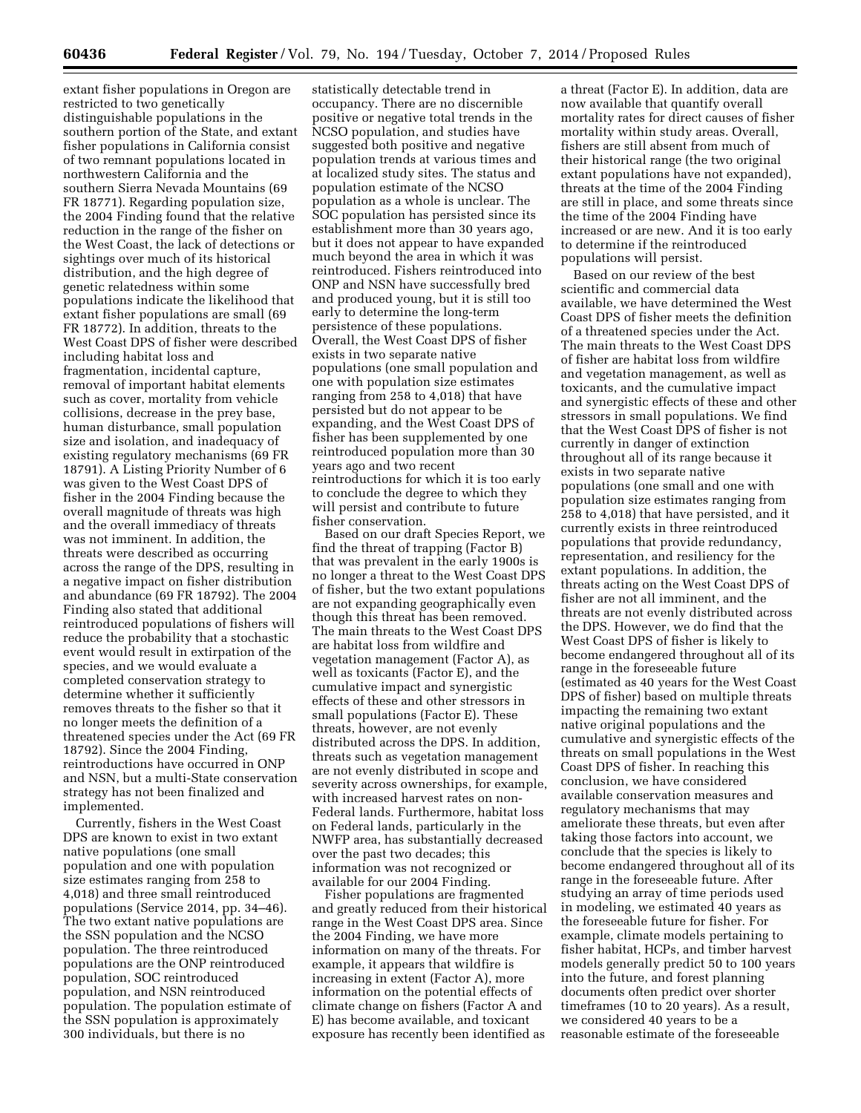extant fisher populations in Oregon are restricted to two genetically distinguishable populations in the southern portion of the State, and extant fisher populations in California consist of two remnant populations located in northwestern California and the southern Sierra Nevada Mountains (69 FR 18771). Regarding population size, the 2004 Finding found that the relative reduction in the range of the fisher on the West Coast, the lack of detections or sightings over much of its historical distribution, and the high degree of genetic relatedness within some populations indicate the likelihood that extant fisher populations are small (69 FR 18772). In addition, threats to the West Coast DPS of fisher were described including habitat loss and fragmentation, incidental capture, removal of important habitat elements such as cover, mortality from vehicle collisions, decrease in the prey base, human disturbance, small population size and isolation, and inadequacy of existing regulatory mechanisms (69 FR 18791). A Listing Priority Number of 6 was given to the West Coast DPS of fisher in the 2004 Finding because the overall magnitude of threats was high and the overall immediacy of threats was not imminent. In addition, the threats were described as occurring across the range of the DPS, resulting in a negative impact on fisher distribution and abundance (69 FR 18792). The 2004 Finding also stated that additional reintroduced populations of fishers will reduce the probability that a stochastic event would result in extirpation of the species, and we would evaluate a completed conservation strategy to determine whether it sufficiently removes threats to the fisher so that it no longer meets the definition of a threatened species under the Act (69 FR 18792). Since the 2004 Finding, reintroductions have occurred in ONP and NSN, but a multi-State conservation strategy has not been finalized and implemented.

Currently, fishers in the West Coast DPS are known to exist in two extant native populations (one small population and one with population size estimates ranging from 258 to 4,018) and three small reintroduced populations (Service 2014, pp. 34–46). The two extant native populations are the SSN population and the NCSO population. The three reintroduced populations are the ONP reintroduced population, SOC reintroduced population, and NSN reintroduced population. The population estimate of the SSN population is approximately 300 individuals, but there is no

statistically detectable trend in occupancy. There are no discernible positive or negative total trends in the NCSO population, and studies have suggested both positive and negative population trends at various times and at localized study sites. The status and population estimate of the NCSO population as a whole is unclear. The SOC population has persisted since its establishment more than 30 years ago, but it does not appear to have expanded much beyond the area in which it was reintroduced. Fishers reintroduced into ONP and NSN have successfully bred and produced young, but it is still too early to determine the long-term persistence of these populations. Overall, the West Coast DPS of fisher exists in two separate native populations (one small population and one with population size estimates ranging from 258 to 4,018) that have persisted but do not appear to be expanding, and the West Coast DPS of fisher has been supplemented by one reintroduced population more than 30 years ago and two recent reintroductions for which it is too early to conclude the degree to which they will persist and contribute to future fisher conservation.

Based on our draft Species Report, we find the threat of trapping (Factor B) that was prevalent in the early 1900s is no longer a threat to the West Coast DPS of fisher, but the two extant populations are not expanding geographically even though this threat has been removed. The main threats to the West Coast DPS are habitat loss from wildfire and vegetation management (Factor A), as well as toxicants (Factor E), and the cumulative impact and synergistic effects of these and other stressors in small populations (Factor E). These threats, however, are not evenly distributed across the DPS. In addition, threats such as vegetation management are not evenly distributed in scope and severity across ownerships, for example, with increased harvest rates on non-Federal lands. Furthermore, habitat loss on Federal lands, particularly in the NWFP area, has substantially decreased over the past two decades; this information was not recognized or available for our 2004 Finding.

Fisher populations are fragmented and greatly reduced from their historical range in the West Coast DPS area. Since the 2004 Finding, we have more information on many of the threats. For example, it appears that wildfire is increasing in extent (Factor A), more information on the potential effects of climate change on fishers (Factor A and E) has become available, and toxicant exposure has recently been identified as

a threat (Factor E). In addition, data are now available that quantify overall mortality rates for direct causes of fisher mortality within study areas. Overall, fishers are still absent from much of their historical range (the two original extant populations have not expanded), threats at the time of the 2004 Finding are still in place, and some threats since the time of the 2004 Finding have increased or are new. And it is too early to determine if the reintroduced populations will persist.

Based on our review of the best scientific and commercial data available, we have determined the West Coast DPS of fisher meets the definition of a threatened species under the Act. The main threats to the West Coast DPS of fisher are habitat loss from wildfire and vegetation management, as well as toxicants, and the cumulative impact and synergistic effects of these and other stressors in small populations. We find that the West Coast DPS of fisher is not currently in danger of extinction throughout all of its range because it exists in two separate native populations (one small and one with population size estimates ranging from 258 to 4,018) that have persisted, and it currently exists in three reintroduced populations that provide redundancy, representation, and resiliency for the extant populations. In addition, the threats acting on the West Coast DPS of fisher are not all imminent, and the threats are not evenly distributed across the DPS. However, we do find that the West Coast DPS of fisher is likely to become endangered throughout all of its range in the foreseeable future (estimated as 40 years for the West Coast DPS of fisher) based on multiple threats impacting the remaining two extant native original populations and the cumulative and synergistic effects of the threats on small populations in the West Coast DPS of fisher. In reaching this conclusion, we have considered available conservation measures and regulatory mechanisms that may ameliorate these threats, but even after taking those factors into account, we conclude that the species is likely to become endangered throughout all of its range in the foreseeable future. After studying an array of time periods used in modeling, we estimated 40 years as the foreseeable future for fisher. For example, climate models pertaining to fisher habitat, HCPs, and timber harvest models generally predict 50 to 100 years into the future, and forest planning documents often predict over shorter timeframes (10 to 20 years). As a result, we considered 40 years to be a reasonable estimate of the foreseeable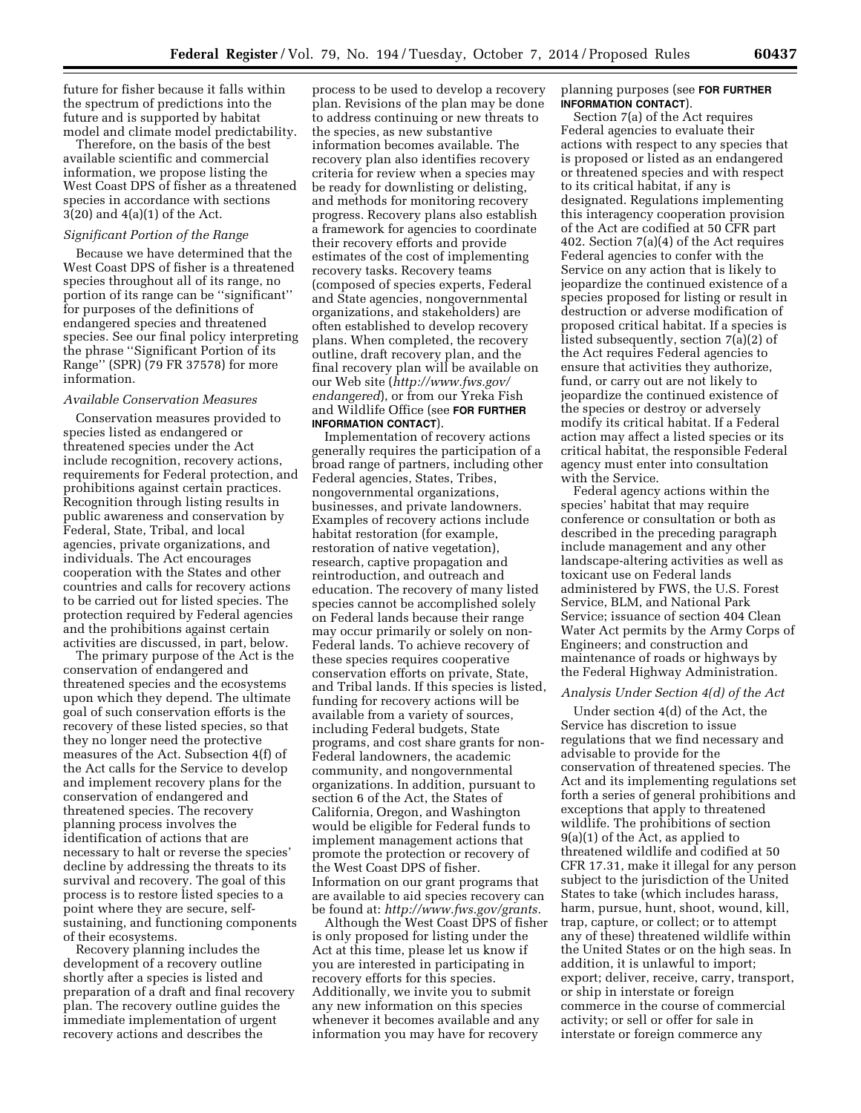future for fisher because it falls within the spectrum of predictions into the future and is supported by habitat model and climate model predictability.

Therefore, on the basis of the best available scientific and commercial information, we propose listing the West Coast DPS of fisher as a threatened species in accordance with sections 3(20) and 4(a)(1) of the Act.

#### *Significant Portion of the Range*

Because we have determined that the West Coast DPS of fisher is a threatened species throughout all of its range, no portion of its range can be ''significant'' for purposes of the definitions of endangered species and threatened species. See our final policy interpreting the phrase ''Significant Portion of its Range'' (SPR) (79 FR 37578) for more information.

#### *Available Conservation Measures*

Conservation measures provided to species listed as endangered or threatened species under the Act include recognition, recovery actions, requirements for Federal protection, and prohibitions against certain practices. Recognition through listing results in public awareness and conservation by Federal, State, Tribal, and local agencies, private organizations, and individuals. The Act encourages cooperation with the States and other countries and calls for recovery actions to be carried out for listed species. The protection required by Federal agencies and the prohibitions against certain activities are discussed, in part, below.

The primary purpose of the Act is the conservation of endangered and threatened species and the ecosystems upon which they depend. The ultimate goal of such conservation efforts is the recovery of these listed species, so that they no longer need the protective measures of the Act. Subsection 4(f) of the Act calls for the Service to develop and implement recovery plans for the conservation of endangered and threatened species. The recovery planning process involves the identification of actions that are necessary to halt or reverse the species' decline by addressing the threats to its survival and recovery. The goal of this process is to restore listed species to a point where they are secure, selfsustaining, and functioning components of their ecosystems.

Recovery planning includes the development of a recovery outline shortly after a species is listed and preparation of a draft and final recovery plan. The recovery outline guides the immediate implementation of urgent recovery actions and describes the

process to be used to develop a recovery plan. Revisions of the plan may be done to address continuing or new threats to the species, as new substantive information becomes available. The recovery plan also identifies recovery criteria for review when a species may be ready for downlisting or delisting, and methods for monitoring recovery progress. Recovery plans also establish a framework for agencies to coordinate their recovery efforts and provide estimates of the cost of implementing recovery tasks. Recovery teams (composed of species experts, Federal and State agencies, nongovernmental organizations, and stakeholders) are often established to develop recovery plans. When completed, the recovery outline, draft recovery plan, and the final recovery plan will be available on our Web site (*[http://www.fws.gov/](http://www.fws.gov/endangered) [endangered](http://www.fws.gov/endangered)*), or from our Yreka Fish and Wildlife Office (see **FOR FURTHER INFORMATION CONTACT**).

Implementation of recovery actions generally requires the participation of a broad range of partners, including other Federal agencies, States, Tribes, nongovernmental organizations, businesses, and private landowners. Examples of recovery actions include habitat restoration (for example, restoration of native vegetation), research, captive propagation and reintroduction, and outreach and education. The recovery of many listed species cannot be accomplished solely on Federal lands because their range may occur primarily or solely on non-Federal lands. To achieve recovery of these species requires cooperative conservation efforts on private, State, and Tribal lands. If this species is listed, funding for recovery actions will be available from a variety of sources, including Federal budgets, State programs, and cost share grants for non-Federal landowners, the academic community, and nongovernmental organizations. In addition, pursuant to section 6 of the Act, the States of California, Oregon, and Washington would be eligible for Federal funds to implement management actions that promote the protection or recovery of the West Coast DPS of fisher. Information on our grant programs that are available to aid species recovery can be found at: *[http://www.fws.gov/grants.](http://www.fws.gov/grants)* 

Although the West Coast DPS of fisher is only proposed for listing under the Act at this time, please let us know if you are interested in participating in recovery efforts for this species. Additionally, we invite you to submit any new information on this species whenever it becomes available and any information you may have for recovery

### planning purposes (see **FOR FURTHER INFORMATION CONTACT**).

Section 7(a) of the Act requires Federal agencies to evaluate their actions with respect to any species that is proposed or listed as an endangered or threatened species and with respect to its critical habitat, if any is designated. Regulations implementing this interagency cooperation provision of the Act are codified at 50 CFR part 402. Section 7(a)(4) of the Act requires Federal agencies to confer with the Service on any action that is likely to jeopardize the continued existence of a species proposed for listing or result in destruction or adverse modification of proposed critical habitat. If a species is listed subsequently, section 7(a)(2) of the Act requires Federal agencies to ensure that activities they authorize, fund, or carry out are not likely to jeopardize the continued existence of the species or destroy or adversely modify its critical habitat. If a Federal action may affect a listed species or its critical habitat, the responsible Federal agency must enter into consultation with the Service.

Federal agency actions within the species' habitat that may require conference or consultation or both as described in the preceding paragraph include management and any other landscape-altering activities as well as toxicant use on Federal lands administered by FWS, the U.S. Forest Service, BLM, and National Park Service; issuance of section 404 Clean Water Act permits by the Army Corps of Engineers; and construction and maintenance of roads or highways by the Federal Highway Administration.

### *Analysis Under Section 4(d) of the Act*

Under section 4(d) of the Act, the Service has discretion to issue regulations that we find necessary and advisable to provide for the conservation of threatened species. The Act and its implementing regulations set forth a series of general prohibitions and exceptions that apply to threatened wildlife. The prohibitions of section 9(a)(1) of the Act, as applied to threatened wildlife and codified at 50 CFR 17.31, make it illegal for any person subject to the jurisdiction of the United States to take (which includes harass, harm, pursue, hunt, shoot, wound, kill, trap, capture, or collect; or to attempt any of these) threatened wildlife within the United States or on the high seas. In addition, it is unlawful to import; export; deliver, receive, carry, transport, or ship in interstate or foreign commerce in the course of commercial activity; or sell or offer for sale in interstate or foreign commerce any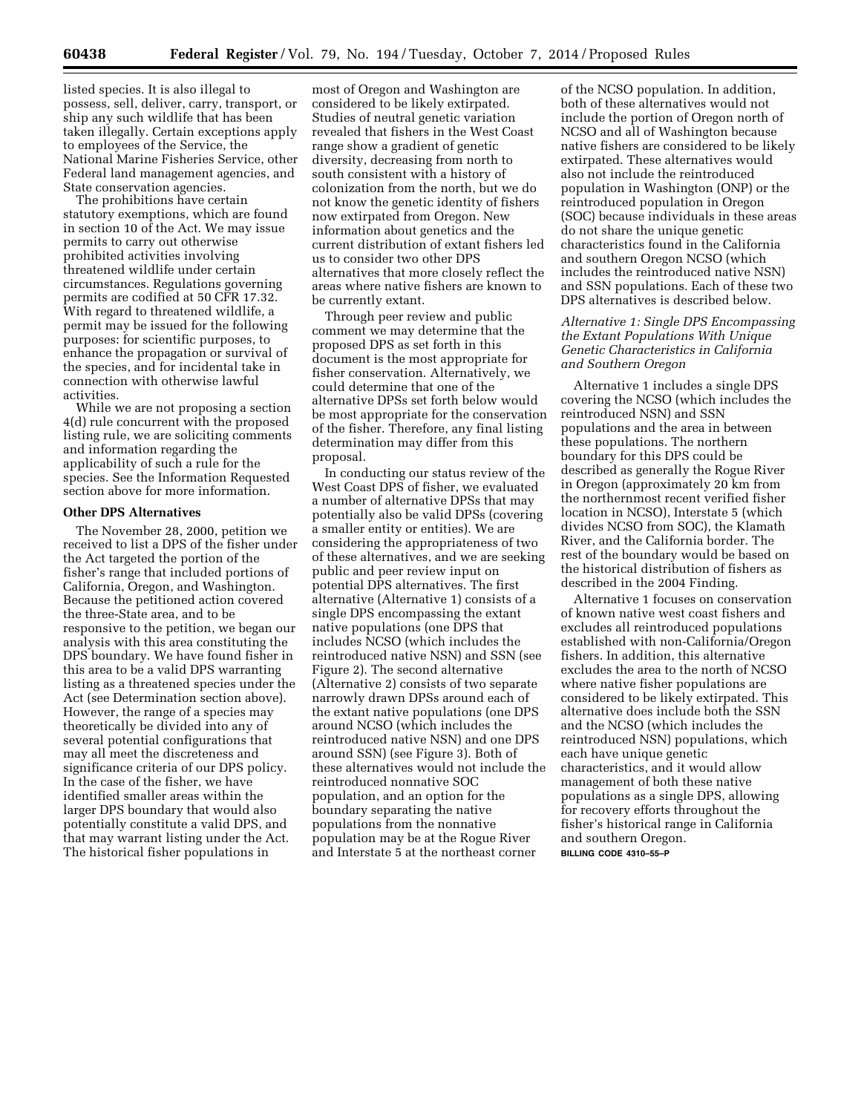listed species. It is also illegal to possess, sell, deliver, carry, transport, or ship any such wildlife that has been taken illegally. Certain exceptions apply to employees of the Service, the National Marine Fisheries Service, other Federal land management agencies, and State conservation agencies.

The prohibitions have certain statutory exemptions, which are found in section 10 of the Act. We may issue permits to carry out otherwise prohibited activities involving threatened wildlife under certain circumstances. Regulations governing permits are codified at 50 CFR 17.32. With regard to threatened wildlife, a permit may be issued for the following purposes: for scientific purposes, to enhance the propagation or survival of the species, and for incidental take in connection with otherwise lawful activities.

While we are not proposing a section 4(d) rule concurrent with the proposed listing rule, we are soliciting comments and information regarding the applicability of such a rule for the species. See the Information Requested section above for more information.

### **Other DPS Alternatives**

The November 28, 2000, petition we received to list a DPS of the fisher under the Act targeted the portion of the fisher's range that included portions of California, Oregon, and Washington. Because the petitioned action covered the three-State area, and to be responsive to the petition, we began our analysis with this area constituting the DPS boundary. We have found fisher in this area to be a valid DPS warranting listing as a threatened species under the Act (see Determination section above). However, the range of a species may theoretically be divided into any of several potential configurations that may all meet the discreteness and significance criteria of our DPS policy. In the case of the fisher, we have identified smaller areas within the larger DPS boundary that would also potentially constitute a valid DPS, and that may warrant listing under the Act. The historical fisher populations in

most of Oregon and Washington are considered to be likely extirpated. Studies of neutral genetic variation revealed that fishers in the West Coast range show a gradient of genetic diversity, decreasing from north to south consistent with a history of colonization from the north, but we do not know the genetic identity of fishers now extirpated from Oregon. New information about genetics and the current distribution of extant fishers led us to consider two other DPS alternatives that more closely reflect the areas where native fishers are known to be currently extant.

Through peer review and public comment we may determine that the proposed DPS as set forth in this document is the most appropriate for fisher conservation. Alternatively, we could determine that one of the alternative DPSs set forth below would be most appropriate for the conservation of the fisher. Therefore, any final listing determination may differ from this proposal.

In conducting our status review of the West Coast DPS of fisher, we evaluated a number of alternative DPSs that may potentially also be valid DPSs (covering a smaller entity or entities). We are considering the appropriateness of two of these alternatives, and we are seeking public and peer review input on potential DPS alternatives. The first alternative (Alternative 1) consists of a single DPS encompassing the extant native populations (one DPS that includes NCSO (which includes the reintroduced native NSN) and SSN (see Figure 2). The second alternative (Alternative 2) consists of two separate narrowly drawn DPSs around each of the extant native populations (one DPS around NCSO (which includes the reintroduced native NSN) and one DPS around SSN) (see Figure 3). Both of these alternatives would not include the reintroduced nonnative SOC population, and an option for the boundary separating the native populations from the nonnative population may be at the Rogue River and Interstate 5 at the northeast corner

of the NCSO population. In addition, both of these alternatives would not include the portion of Oregon north of NCSO and all of Washington because native fishers are considered to be likely extirpated. These alternatives would also not include the reintroduced population in Washington (ONP) or the reintroduced population in Oregon (SOC) because individuals in these areas do not share the unique genetic characteristics found in the California and southern Oregon NCSO (which includes the reintroduced native NSN) and SSN populations. Each of these two DPS alternatives is described below.

# *Alternative 1: Single DPS Encompassing the Extant Populations With Unique Genetic Characteristics in California and Southern Oregon*

Alternative 1 includes a single DPS covering the NCSO (which includes the reintroduced NSN) and SSN populations and the area in between these populations. The northern boundary for this DPS could be described as generally the Rogue River in Oregon (approximately 20 km from the northernmost recent verified fisher location in NCSO), Interstate 5 (which divides NCSO from SOC), the Klamath River, and the California border. The rest of the boundary would be based on the historical distribution of fishers as described in the 2004 Finding.

Alternative 1 focuses on conservation of known native west coast fishers and excludes all reintroduced populations established with non-California/Oregon fishers. In addition, this alternative excludes the area to the north of NCSO where native fisher populations are considered to be likely extirpated. This alternative does include both the SSN and the NCSO (which includes the reintroduced NSN) populations, which each have unique genetic characteristics, and it would allow management of both these native populations as a single DPS, allowing for recovery efforts throughout the fisher's historical range in California and southern Oregon. **BILLING CODE 4310–55–P**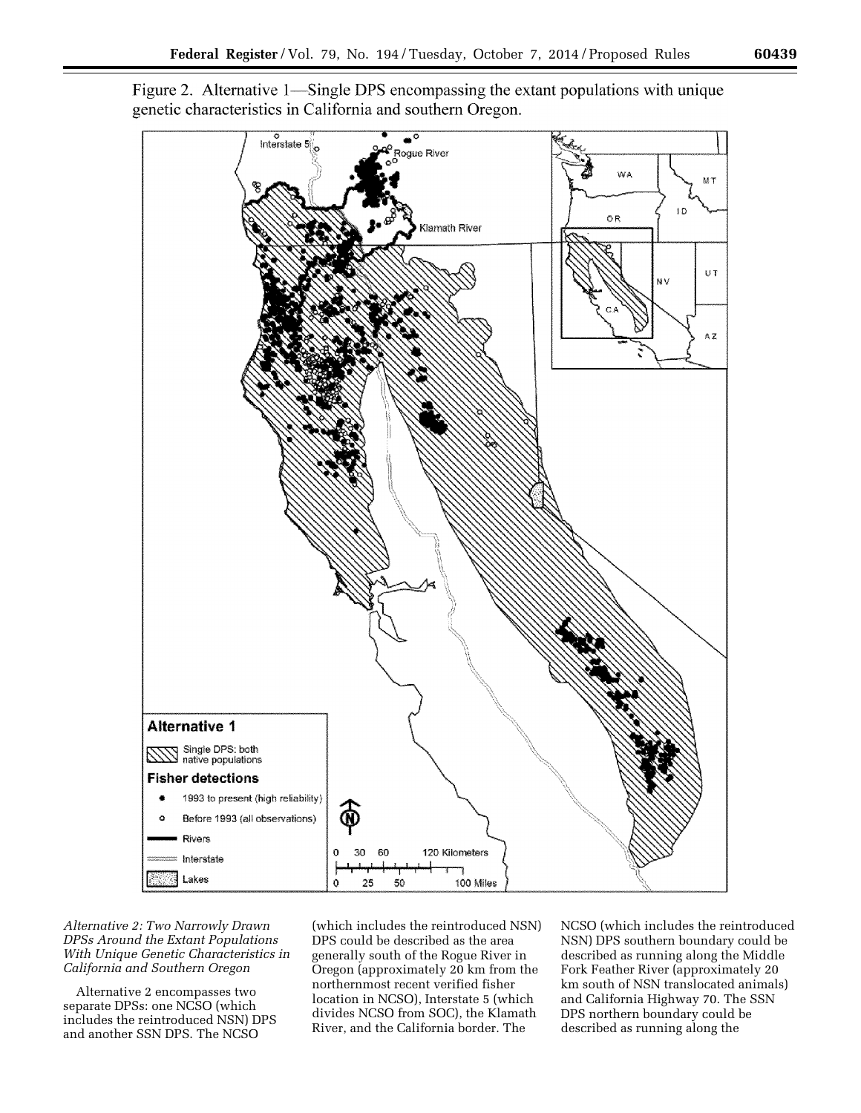

Figure 2. Alternative 1—Single DPS encompassing the extant populations with unique genetic characteristics in California and southern Oregon.

*Alternative 2: Two Narrowly Drawn DPSs Around the Extant Populations With Unique Genetic Characteristics in California and Southern Oregon* 

Alternative 2 encompasses two separate DPSs: one NCSO (which includes the reintroduced NSN) DPS and another SSN DPS. The NCSO

(which includes the reintroduced NSN) DPS could be described as the area generally south of the Rogue River in Oregon (approximately 20 km from the northernmost recent verified fisher location in NCSO), Interstate 5 (which divides NCSO from SOC), the Klamath River, and the California border. The

NCSO (which includes the reintroduced NSN) DPS southern boundary could be described as running along the Middle Fork Feather River (approximately 20 km south of NSN translocated animals) and California Highway 70. The SSN DPS northern boundary could be described as running along the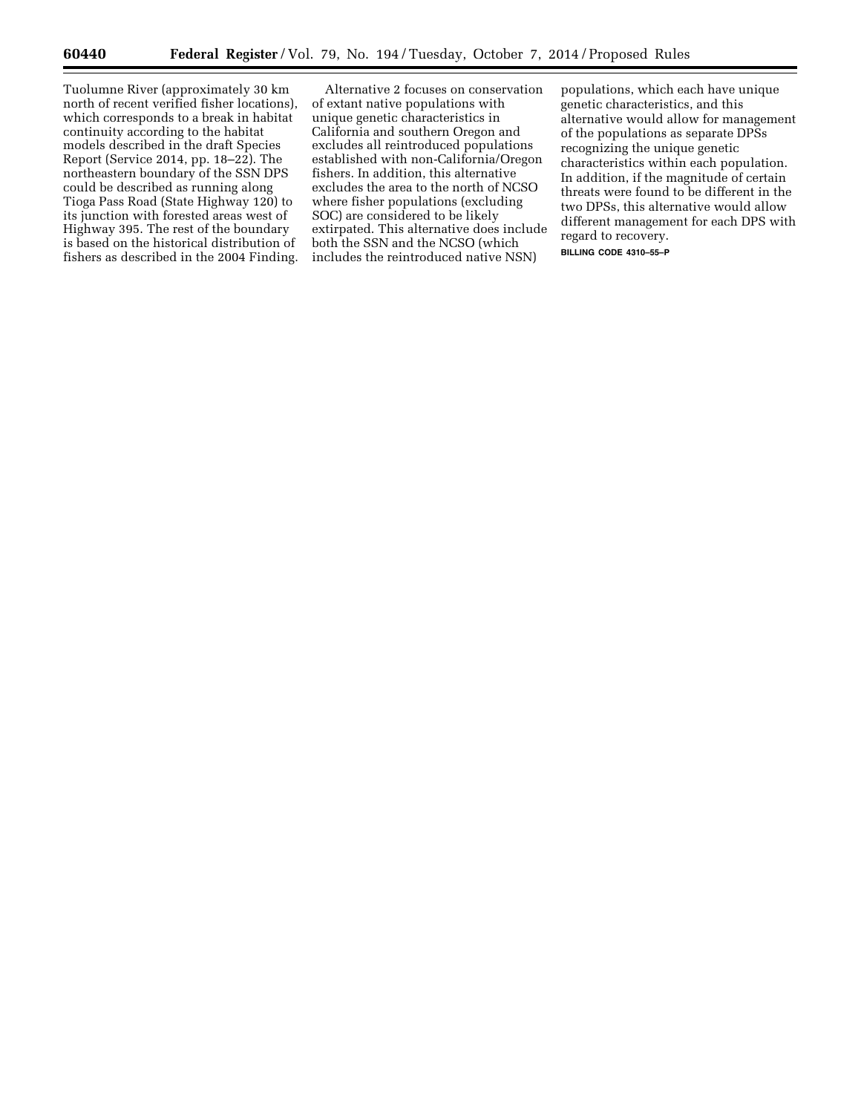Tuolumne River (approximately 30 km north of recent verified fisher locations), which corresponds to a break in habitat continuity according to the habitat models described in the draft Species Report (Service 2014, pp. 18–22). The northeastern boundary of the SSN DPS could be described as running along Tioga Pass Road (State Highway 120) to its junction with forested areas west of Highway 395. The rest of the boundary is based on the historical distribution of fishers as described in the 2004 Finding.

Alternative 2 focuses on conservation of extant native populations with unique genetic characteristics in California and southern Oregon and excludes all reintroduced populations established with non-California/Oregon fishers. In addition, this alternative excludes the area to the north of NCSO where fisher populations (excluding SOC) are considered to be likely extirpated. This alternative does include both the SSN and the NCSO (which includes the reintroduced native NSN)

populations, which each have unique genetic characteristics, and this alternative would allow for management of the populations as separate DPSs recognizing the unique genetic characteristics within each population. In addition, if the magnitude of certain threats were found to be different in the two DPSs, this alternative would allow different management for each DPS with regard to recovery.

**BILLING CODE 4310–55–P**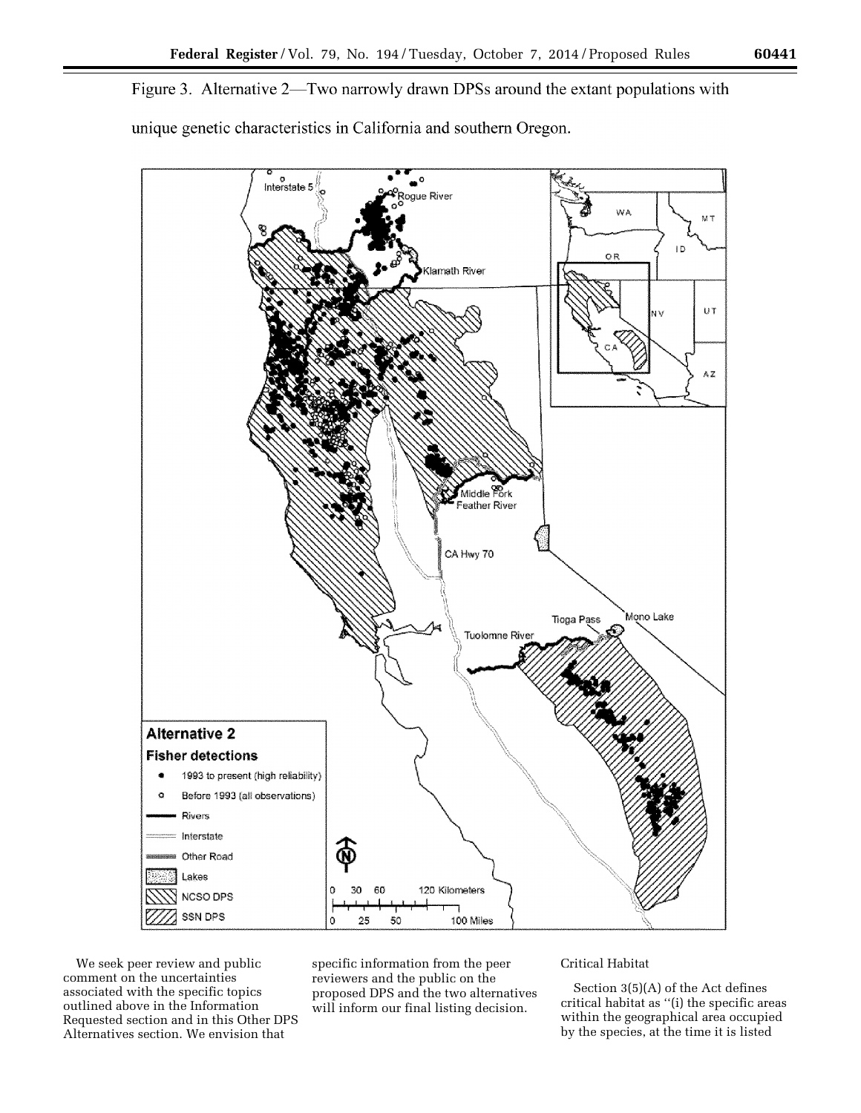Figure 3. Alternative 2—Two narrowly drawn DPSs around the extant populations with unique genetic characteristics in California and southern Oregon.



We seek peer review and public comment on the uncertainties associated with the specific topics outlined above in the Information Requested section and in this Other DPS Alternatives section. We envision that

specific information from the peer reviewers and the public on the proposed DPS and the two alternatives will inform our final listing decision.

# Critical Habitat

Section 3(5)(A) of the Act defines critical habitat as ''(i) the specific areas within the geographical area occupied by the species, at the time it is listed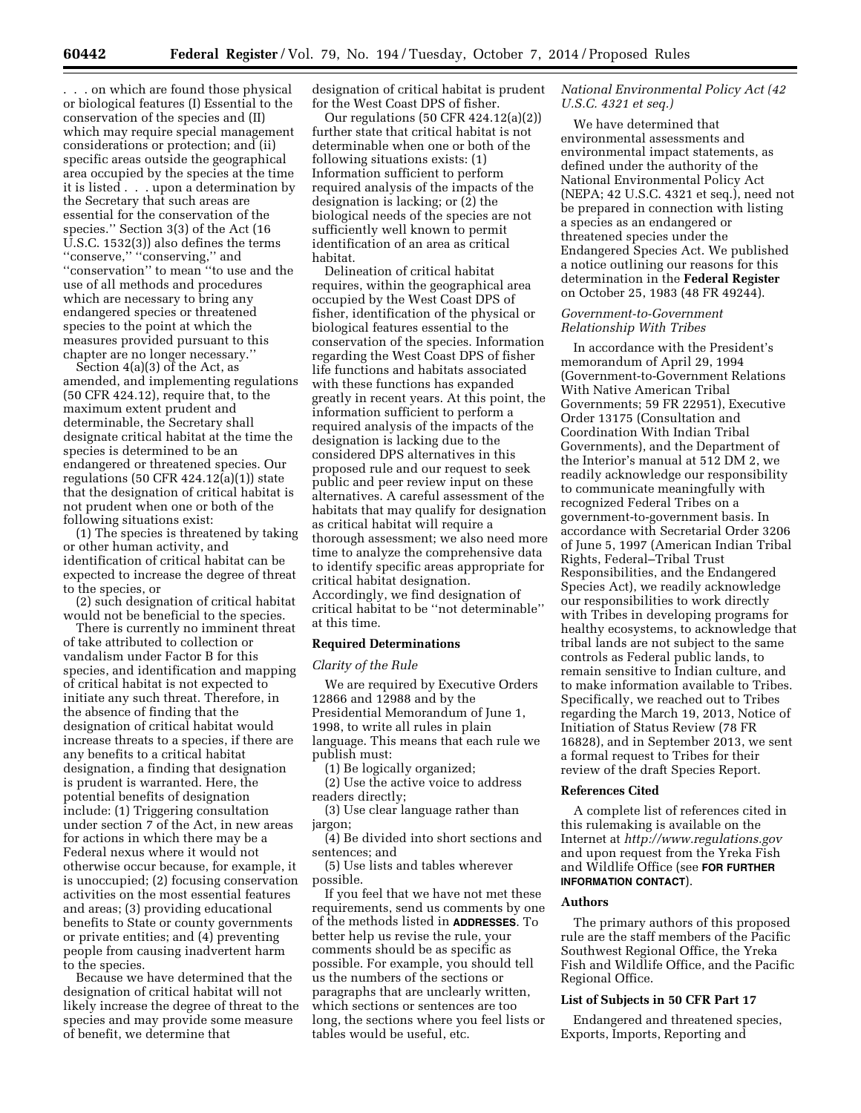. . . on which are found those physical or biological features (I) Essential to the conservation of the species and (II) which may require special management considerations or protection; and (ii) specific areas outside the geographical area occupied by the species at the time it is listed . . . upon a determination by the Secretary that such areas are essential for the conservation of the species.'' Section 3(3) of the Act (16 U.S.C. 1532(3)) also defines the terms ''conserve,'' ''conserving,'' and ''conservation'' to mean ''to use and the use of all methods and procedures which are necessary to bring any endangered species or threatened species to the point at which the measures provided pursuant to this chapter are no longer necessary.''

Section  $4(a)(3)$  of the Act, as amended, and implementing regulations (50 CFR 424.12), require that, to the maximum extent prudent and determinable, the Secretary shall designate critical habitat at the time the species is determined to be an endangered or threatened species. Our regulations  $(50 \text{ CFR } 424.12(a)(1))$  state that the designation of critical habitat is not prudent when one or both of the following situations exist:

(1) The species is threatened by taking or other human activity, and identification of critical habitat can be expected to increase the degree of threat to the species, or

(2) such designation of critical habitat would not be beneficial to the species.

There is currently no imminent threat of take attributed to collection or vandalism under Factor B for this species, and identification and mapping of critical habitat is not expected to initiate any such threat. Therefore, in the absence of finding that the designation of critical habitat would increase threats to a species, if there are any benefits to a critical habitat designation, a finding that designation is prudent is warranted. Here, the potential benefits of designation include: (1) Triggering consultation under section 7 of the Act, in new areas for actions in which there may be a Federal nexus where it would not otherwise occur because, for example, it is unoccupied; (2) focusing conservation activities on the most essential features and areas; (3) providing educational benefits to State or county governments or private entities; and (4) preventing people from causing inadvertent harm to the species.

Because we have determined that the designation of critical habitat will not likely increase the degree of threat to the species and may provide some measure of benefit, we determine that

designation of critical habitat is prudent for the West Coast DPS of fisher.

Our regulations (50 CFR 424.12(a)(2)) further state that critical habitat is not determinable when one or both of the following situations exists: (1) Information sufficient to perform required analysis of the impacts of the designation is lacking; or (2) the biological needs of the species are not sufficiently well known to permit identification of an area as critical habitat.

Delineation of critical habitat requires, within the geographical area occupied by the West Coast DPS of fisher, identification of the physical or biological features essential to the conservation of the species. Information regarding the West Coast DPS of fisher life functions and habitats associated with these functions has expanded greatly in recent years. At this point, the information sufficient to perform a required analysis of the impacts of the designation is lacking due to the considered DPS alternatives in this proposed rule and our request to seek public and peer review input on these alternatives. A careful assessment of the habitats that may qualify for designation as critical habitat will require a thorough assessment; we also need more time to analyze the comprehensive data to identify specific areas appropriate for critical habitat designation. Accordingly, we find designation of critical habitat to be ''not determinable'' at this time.

#### **Required Determinations**

#### *Clarity of the Rule*

We are required by Executive Orders 12866 and 12988 and by the Presidential Memorandum of June 1, 1998, to write all rules in plain language. This means that each rule we publish must:

(1) Be logically organized;

(2) Use the active voice to address readers directly;

(3) Use clear language rather than jargon;

(4) Be divided into short sections and sentences; and

(5) Use lists and tables wherever possible.

If you feel that we have not met these requirements, send us comments by one of the methods listed in **ADDRESSES**. To better help us revise the rule, your comments should be as specific as possible. For example, you should tell us the numbers of the sections or paragraphs that are unclearly written, which sections or sentences are too long, the sections where you feel lists or tables would be useful, etc.

# *National Environmental Policy Act (42 U.S.C. 4321 et seq.)*

We have determined that environmental assessments and environmental impact statements, as defined under the authority of the National Environmental Policy Act (NEPA; 42 U.S.C. 4321 et seq.), need not be prepared in connection with listing a species as an endangered or threatened species under the Endangered Species Act. We published a notice outlining our reasons for this determination in the **Federal Register**  on October 25, 1983 (48 FR 49244).

## *Government-to-Government Relationship With Tribes*

In accordance with the President's memorandum of April 29, 1994 (Government-to-Government Relations With Native American Tribal Governments; 59 FR 22951), Executive Order 13175 (Consultation and Coordination With Indian Tribal Governments), and the Department of the Interior's manual at 512 DM 2, we readily acknowledge our responsibility to communicate meaningfully with recognized Federal Tribes on a government-to-government basis. In accordance with Secretarial Order 3206 of June 5, 1997 (American Indian Tribal Rights, Federal–Tribal Trust Responsibilities, and the Endangered Species Act), we readily acknowledge our responsibilities to work directly with Tribes in developing programs for healthy ecosystems, to acknowledge that tribal lands are not subject to the same controls as Federal public lands, to remain sensitive to Indian culture, and to make information available to Tribes. Specifically, we reached out to Tribes regarding the March 19, 2013, Notice of Initiation of Status Review (78 FR 16828), and in September 2013, we sent a formal request to Tribes for their review of the draft Species Report.

### **References Cited**

A complete list of references cited in this rulemaking is available on the Internet at *<http://www.regulations.gov>*  and upon request from the Yreka Fish and Wildlife Office (see **FOR FURTHER INFORMATION CONTACT**).

# **Authors**

The primary authors of this proposed rule are the staff members of the Pacific Southwest Regional Office, the Yreka Fish and Wildlife Office, and the Pacific Regional Office.

#### **List of Subjects in 50 CFR Part 17**

Endangered and threatened species, Exports, Imports, Reporting and